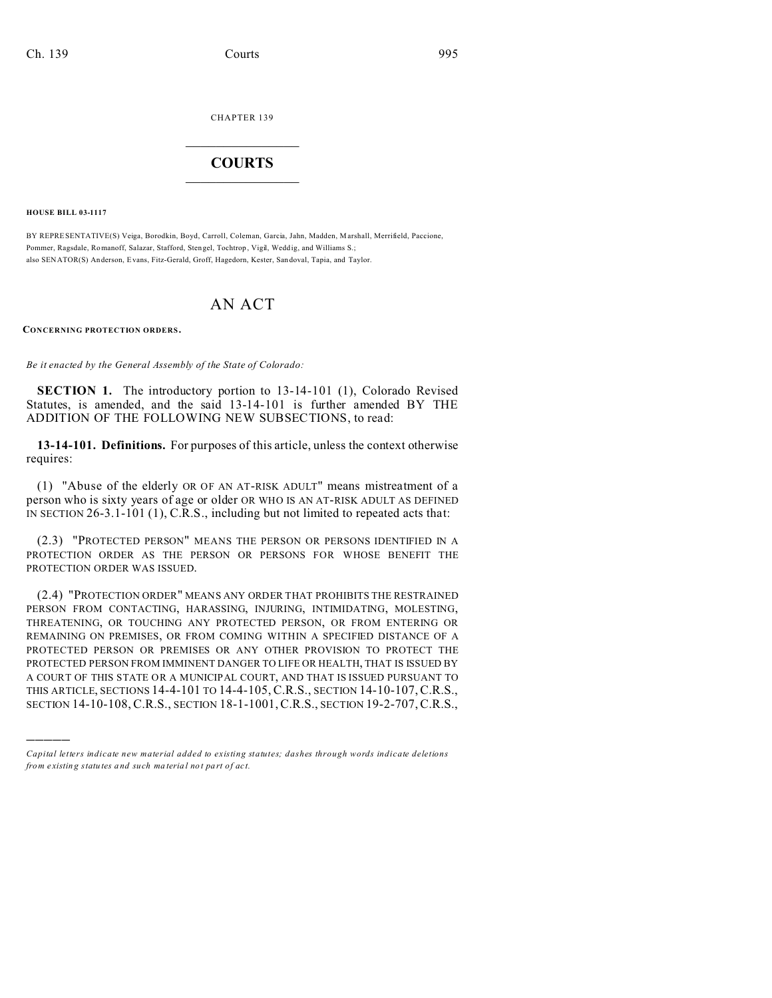CHAPTER 139  $\overline{\phantom{a}}$  , where  $\overline{\phantom{a}}$ 

## **COURTS**  $\_$

**HOUSE BILL 03-1117**

)))))

BY REPRESENTATIVE(S) Veiga, Borodkin, Boyd, Carroll, Coleman, Garcia, Jahn, Madden, Marshall, Merrifield, Paccione, Pommer, Ragsdale, Romanoff, Salazar, Stafford, Stengel, Tochtrop, Vigil, Weddig, and Williams S.; also SENATOR(S) Anderson, Evans, Fitz-Gerald, Groff, Hagedorn, Kester, Sandoval, Tapia, and Taylor.

# AN ACT

**CONCERNING PROTECTION ORDERS.**

*Be it enacted by the General Assembly of the State of Colorado:*

**SECTION 1.** The introductory portion to 13-14-101 (1), Colorado Revised Statutes, is amended, and the said 13-14-101 is further amended BY THE ADDITION OF THE FOLLOWING NEW SUBSECTIONS, to read:

**13-14-101. Definitions.** For purposes of this article, unless the context otherwise requires:

(1) "Abuse of the elderly OR OF AN AT-RISK ADULT" means mistreatment of a person who is sixty years of age or older OR WHO IS AN AT-RISK ADULT AS DEFINED IN SECTION 26-3.1-101 (1), C.R.S., including but not limited to repeated acts that:

(2.3) "PROTECTED PERSON" MEANS THE PERSON OR PERSONS IDENTIFIED IN A PROTECTION ORDER AS THE PERSON OR PERSONS FOR WHOSE BENEFIT THE PROTECTION ORDER WAS ISSUED.

(2.4) "PROTECTION ORDER" MEANS ANY ORDER THAT PROHIBITS THE RESTRAINED PERSON FROM CONTACTING, HARASSING, INJURING, INTIMIDATING, MOLESTING, THREATENING, OR TOUCHING ANY PROTECTED PERSON, OR FROM ENTERING OR REMAINING ON PREMISES, OR FROM COMING WITHIN A SPECIFIED DISTANCE OF A PROTECTED PERSON OR PREMISES OR ANY OTHER PROVISION TO PROTECT THE PROTECTED PERSON FROM IMMINENT DANGER TO LIFE OR HEALTH, THAT IS ISSUED BY A COURT OF THIS STATE OR A MUNICIPAL COURT, AND THAT IS ISSUED PURSUANT TO THIS ARTICLE, SECTIONS 14-4-101 TO 14-4-105, C.R.S., SECTION 14-10-107,C.R.S., SECTION 14-10-108, C.R.S., SECTION 18-1-1001,C.R.S., SECTION 19-2-707,C.R.S.,

*Capital letters indicate new material added to existing statutes; dashes through words indicate deletions from e xistin g statu tes a nd such ma teria l no t pa rt of ac t.*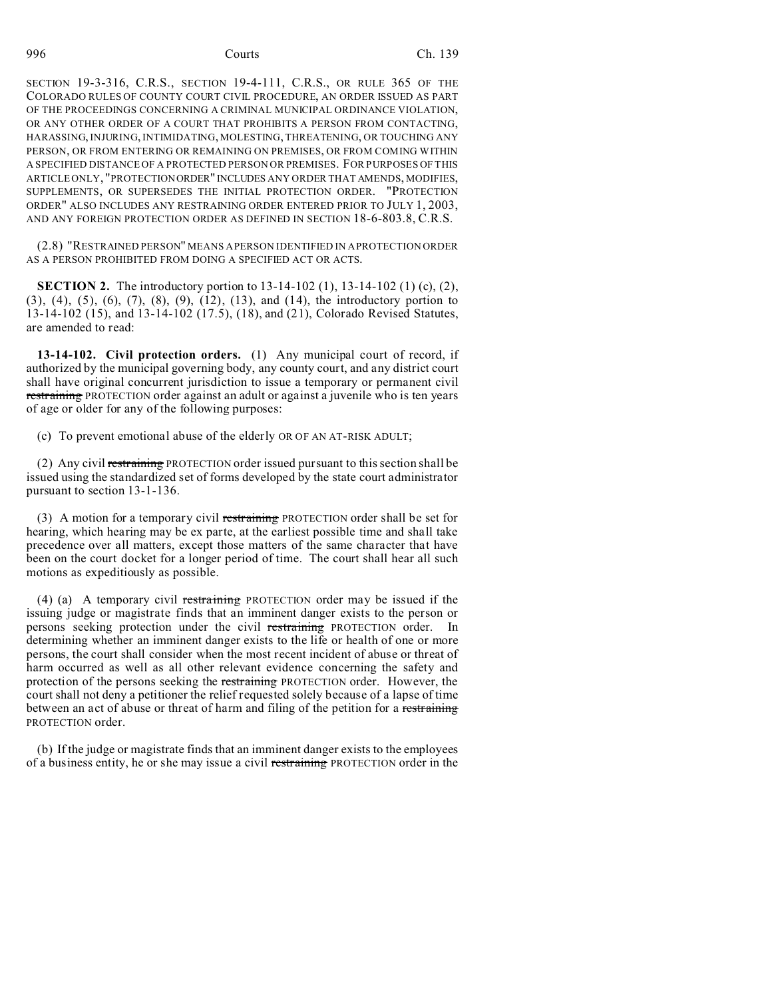SECTION 19-3-316, C.R.S., SECTION 19-4-111, C.R.S., OR RULE 365 OF THE COLORADO RULES OF COUNTY COURT CIVIL PROCEDURE, AN ORDER ISSUED AS PART OF THE PROCEEDINGS CONCERNING A CRIMINAL MUNICIPAL ORDINANCE VIOLATION, OR ANY OTHER ORDER OF A COURT THAT PROHIBITS A PERSON FROM CONTACTING, HARASSING, INJURING, INTIMIDATING, MOLESTING, THREATENING, OR TOUCHING ANY PERSON, OR FROM ENTERING OR REMAINING ON PREMISES, OR FROM COMING WITHIN A SPECIFIED DISTANCE OF A PROTECTED PERSON OR PREMISES. FOR PURPOSES OF THIS ARTICLE ONLY, "PROTECTIONORDER" INCLUDES ANY ORDER THAT AMENDS, MODIFIES, SUPPLEMENTS, OR SUPERSEDES THE INITIAL PROTECTION ORDER. "PROTECTION ORDER" ALSO INCLUDES ANY RESTRAINING ORDER ENTERED PRIOR TO JULY 1, 2003, AND ANY FOREIGN PROTECTION ORDER AS DEFINED IN SECTION 18-6-803.8, C.R.S.

(2.8) "RESTRAINED PERSON" MEANS A PERSON IDENTIFIED IN A PROTECTION ORDER AS A PERSON PROHIBITED FROM DOING A SPECIFIED ACT OR ACTS.

**SECTION 2.** The introductory portion to 13-14-102 (1), 13-14-102 (1) (c), (2), (3), (4), (5), (6), (7), (8), (9), (12), (13), and (14), the introductory portion to 13-14-102 (15), and 13-14-102 (17.5), (18), and (21), Colorado Revised Statutes, are amended to read:

**13-14-102. Civil protection orders.** (1) Any municipal court of record, if authorized by the municipal governing body, any county court, and any district court shall have original concurrent jurisdiction to issue a temporary or permanent civil restraining PROTECTION order against an adult or against a juvenile who is ten years of age or older for any of the following purposes:

(c) To prevent emotional abuse of the elderly OR OF AN AT-RISK ADULT;

(2) Any civil restraining PROTECTION order issued pursuant to this section shall be issued using the standardized set of forms developed by the state court administrator pursuant to section 13-1-136.

(3) A motion for a temporary civil restraining PROTECTION order shall be set for hearing, which hearing may be ex parte, at the earliest possible time and shall take precedence over all matters, except those matters of the same character that have been on the court docket for a longer period of time. The court shall hear all such motions as expeditiously as possible.

(4) (a) A temporary civil restraining PROTECTION order may be issued if the issuing judge or magistrate finds that an imminent danger exists to the person or persons seeking protection under the civil restraining PROTECTION order. In determining whether an imminent danger exists to the life or health of one or more persons, the court shall consider when the most recent incident of abuse or threat of harm occurred as well as all other relevant evidence concerning the safety and protection of the persons seeking the restraining PROTECTION order. However, the court shall not deny a petitioner the relief requested solely because of a lapse of time between an act of abuse or threat of harm and filing of the petition for a restraining PROTECTION order.

(b) If the judge or magistrate finds that an imminent danger exists to the employees of a business entity, he or she may issue a civil restraining PROTECTION order in the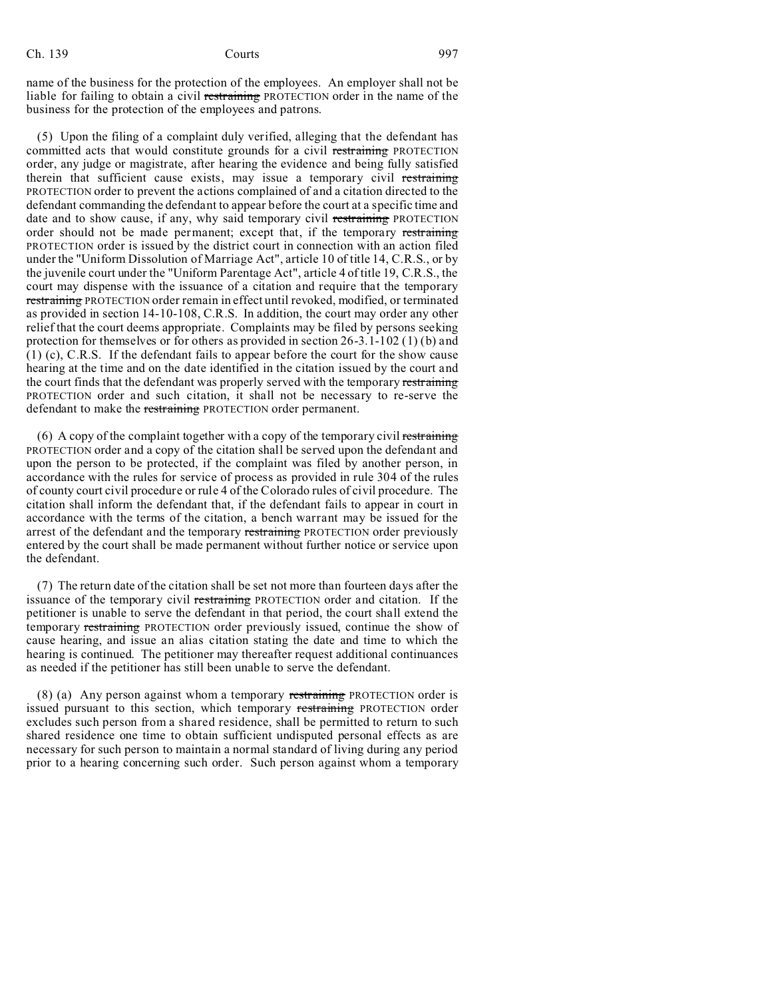name of the business for the protection of the employees. An employer shall not be liable for failing to obtain a civil restraining PROTECTION order in the name of the business for the protection of the employees and patrons.

(5) Upon the filing of a complaint duly verified, alleging that the defendant has committed acts that would constitute grounds for a civil restraining PROTECTION order, any judge or magistrate, after hearing the evidence and being fully satisfied therein that sufficient cause exists, may issue a temporary civil restraining PROTECTION order to prevent the actions complained of and a citation directed to the defendant commanding the defendant to appear before the court at a specific time and date and to show cause, if any, why said temporary civil restraining PROTECTION order should not be made permanent; except that, if the temporary restraining PROTECTION order is issued by the district court in connection with an action filed under the "Uniform Dissolution of Marriage Act", article 10 of title 14, C.R.S., or by the juvenile court under the "Uniform Parentage Act", article 4 of title 19, C.R.S., the court may dispense with the issuance of a citation and require that the temporary restraining PROTECTION order remain in effect until revoked, modified, or terminated as provided in section 14-10-108, C.R.S. In addition, the court may order any other relief that the court deems appropriate. Complaints may be filed by persons seeking protection for themselves or for others as provided in section 26-3.1-102 (1) (b) and (1) (c), C.R.S. If the defendant fails to appear before the court for the show cause hearing at the time and on the date identified in the citation issued by the court and the court finds that the defendant was properly served with the temporary restraining PROTECTION order and such citation, it shall not be necessary to re-serve the defendant to make the restraining PROTECTION order permanent.

(6) A copy of the complaint together with a copy of the temporary civil restraining PROTECTION order and a copy of the citation shall be served upon the defendant and upon the person to be protected, if the complaint was filed by another person, in accordance with the rules for service of process as provided in rule 304 of the rules of county court civil procedure or rule 4 of the Colorado rules of civil procedure. The citation shall inform the defendant that, if the defendant fails to appear in court in accordance with the terms of the citation, a bench warrant may be issued for the arrest of the defendant and the temporary restraining PROTECTION order previously entered by the court shall be made permanent without further notice or service upon the defendant.

(7) The return date of the citation shall be set not more than fourteen days after the issuance of the temporary civil restraining PROTECTION order and citation. If the petitioner is unable to serve the defendant in that period, the court shall extend the temporary restraining PROTECTION order previously issued, continue the show of cause hearing, and issue an alias citation stating the date and time to which the hearing is continued. The petitioner may thereafter request additional continuances as needed if the petitioner has still been unable to serve the defendant.

(8) (a) Any person against whom a temporary restraining PROTECTION order is issued pursuant to this section, which temporary restraining PROTECTION order excludes such person from a shared residence, shall be permitted to return to such shared residence one time to obtain sufficient undisputed personal effects as are necessary for such person to maintain a normal standard of living during any period prior to a hearing concerning such order. Such person against whom a temporary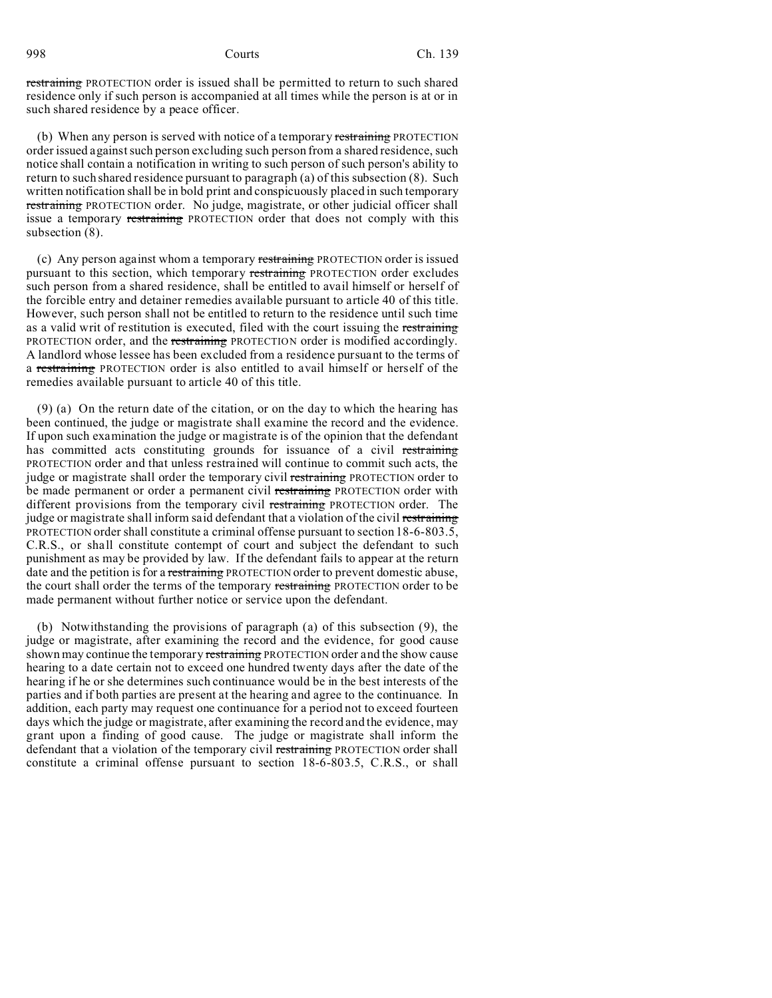restraining PROTECTION order is issued shall be permitted to return to such shared residence only if such person is accompanied at all times while the person is at or in such shared residence by a peace officer.

(b) When any person is served with notice of a temporary restraining PROTECTION order issued against such person excluding such person from a shared residence, such notice shall contain a notification in writing to such person of such person's ability to return to such shared residence pursuant to paragraph (a) of this subsection (8). Such written notification shall be in bold print and conspicuously placed in such temporary restraining PROTECTION order. No judge, magistrate, or other judicial officer shall issue a temporary restraining PROTECTION order that does not comply with this subsection (8).

(c) Any person against whom a temporary restraining PROTECTION order is issued pursuant to this section, which temporary restraining PROTECTION order excludes such person from a shared residence, shall be entitled to avail himself or herself of the forcible entry and detainer remedies available pursuant to article 40 of this title. However, such person shall not be entitled to return to the residence until such time as a valid writ of restitution is executed, filed with the court issuing the restraining PROTECTION order, and the restraining PROTECTION order is modified accordingly. A landlord whose lessee has been excluded from a residence pursuant to the terms of a restraining PROTECTION order is also entitled to avail himself or herself of the remedies available pursuant to article 40 of this title.

(9) (a) On the return date of the citation, or on the day to which the hearing has been continued, the judge or magistrate shall examine the record and the evidence. If upon such examination the judge or magistrate is of the opinion that the defendant has committed acts constituting grounds for issuance of a civil restraining PROTECTION order and that unless restrained will continue to commit such acts, the judge or magistrate shall order the temporary civil restraining PROTECTION order to be made permanent or order a permanent civil restraining PROTECTION order with different provisions from the temporary civil restraining PROTECTION order. The judge or magistrate shall inform said defendant that a violation of the civil restraining PROTECTION order shall constitute a criminal offense pursuant to section 18-6-803.5, C.R.S., or shall constitute contempt of court and subject the defendant to such punishment as may be provided by law. If the defendant fails to appear at the return date and the petition is for a restraining PROTECTION order to prevent domestic abuse, the court shall order the terms of the temporary restraining PROTECTION order to be made permanent without further notice or service upon the defendant.

(b) Notwithstanding the provisions of paragraph (a) of this subsection (9), the judge or magistrate, after examining the record and the evidence, for good cause shown may continue the temporary restraining PROTECTION order and the show cause hearing to a date certain not to exceed one hundred twenty days after the date of the hearing if he or she determines such continuance would be in the best interests of the parties and if both parties are present at the hearing and agree to the continuance. In addition, each party may request one continuance for a period not to exceed fourteen days which the judge or magistrate, after examining the record and the evidence, may grant upon a finding of good cause. The judge or magistrate shall inform the defendant that a violation of the temporary civil restraining PROTECTION order shall constitute a criminal offense pursuant to section 18-6-803.5, C.R.S., or shall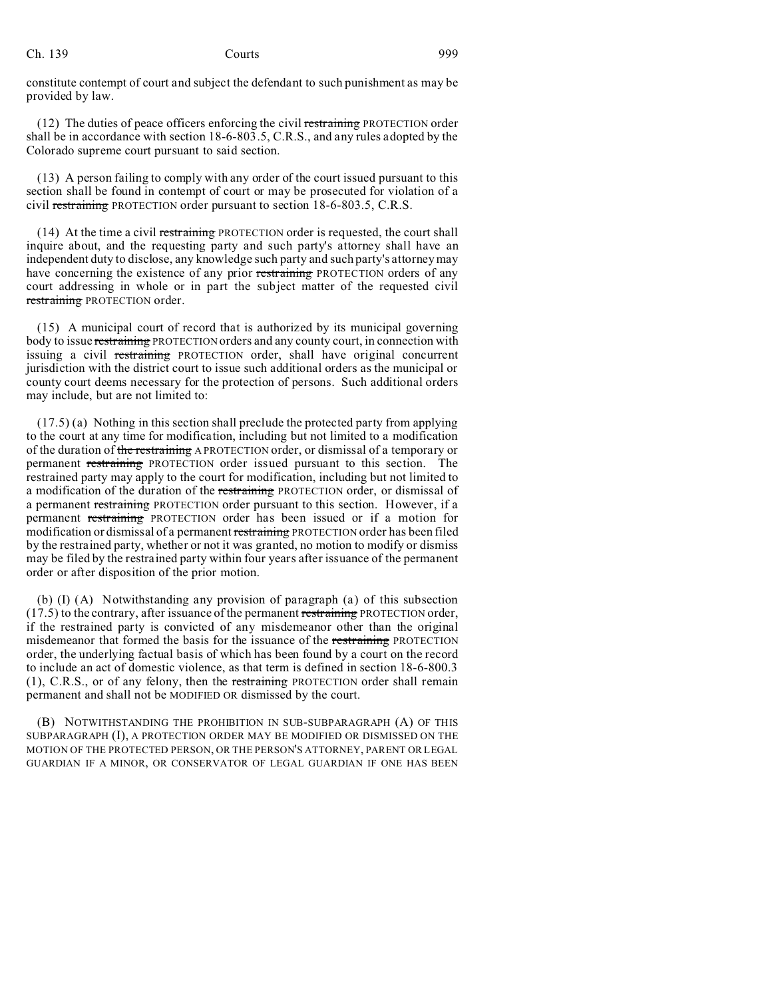Ch. 139 **Courts** 999

constitute contempt of court and subject the defendant to such punishment as may be provided by law.

(12) The duties of peace officers enforcing the civil restraining PROTECTION order shall be in accordance with section 18-6-803.5, C.R.S., and any rules adopted by the Colorado supreme court pursuant to said section.

(13) A person failing to comply with any order of the court issued pursuant to this section shall be found in contempt of court or may be prosecuted for violation of a civil restraining PROTECTION order pursuant to section 18-6-803.5, C.R.S.

(14) At the time a civil restraining PROTECTION order is requested, the court shall inquire about, and the requesting party and such party's attorney shall have an independent duty to disclose, any knowledge such party and such party's attorney may have concerning the existence of any prior restraining PROTECTION orders of any court addressing in whole or in part the subject matter of the requested civil restraining PROTECTION order.

(15) A municipal court of record that is authorized by its municipal governing body to issue restraining PROTECTION orders and any county court, in connection with issuing a civil restraining PROTECTION order, shall have original concurrent jurisdiction with the district court to issue such additional orders as the municipal or county court deems necessary for the protection of persons. Such additional orders may include, but are not limited to:

(17.5) (a) Nothing in this section shall preclude the protected party from applying to the court at any time for modification, including but not limited to a modification of the duration of the restraining A PROTECTION order, or dismissal of a temporary or permanent restraining PROTECTION order issued pursuant to this section. The restrained party may apply to the court for modification, including but not limited to a modification of the duration of the restraining PROTECTION order, or dismissal of a permanent restraining PROTECTION order pursuant to this section. However, if a permanent restraining PROTECTION order has been issued or if a motion for modification or dismissal of a permanent restraining PROTECTION order has been filed by the restrained party, whether or not it was granted, no motion to modify or dismiss may be filed by the restrained party within four years after issuance of the permanent order or after disposition of the prior motion.

(b) (I) (A) Notwithstanding any provision of paragraph (a) of this subsection  $(17.5)$  to the contrary, after issuance of the permanent restraining PROTECTION order, if the restrained party is convicted of any misdemeanor other than the original misdemeanor that formed the basis for the issuance of the restraining PROTECTION order, the underlying factual basis of which has been found by a court on the record to include an act of domestic violence, as that term is defined in section 18-6-800.3 (1), C.R.S., or of any felony, then the restraining PROTECTION order shall remain permanent and shall not be MODIFIED OR dismissed by the court.

(B) NOTWITHSTANDING THE PROHIBITION IN SUB-SUBPARAGRAPH (A) OF THIS SUBPARAGRAPH (I), A PROTECTION ORDER MAY BE MODIFIED OR DISMISSED ON THE MOTION OF THE PROTECTED PERSON, OR THE PERSON'S ATTORNEY, PARENT OR LEGAL GUARDIAN IF A MINOR, OR CONSERVATOR OF LEGAL GUARDIAN IF ONE HAS BEEN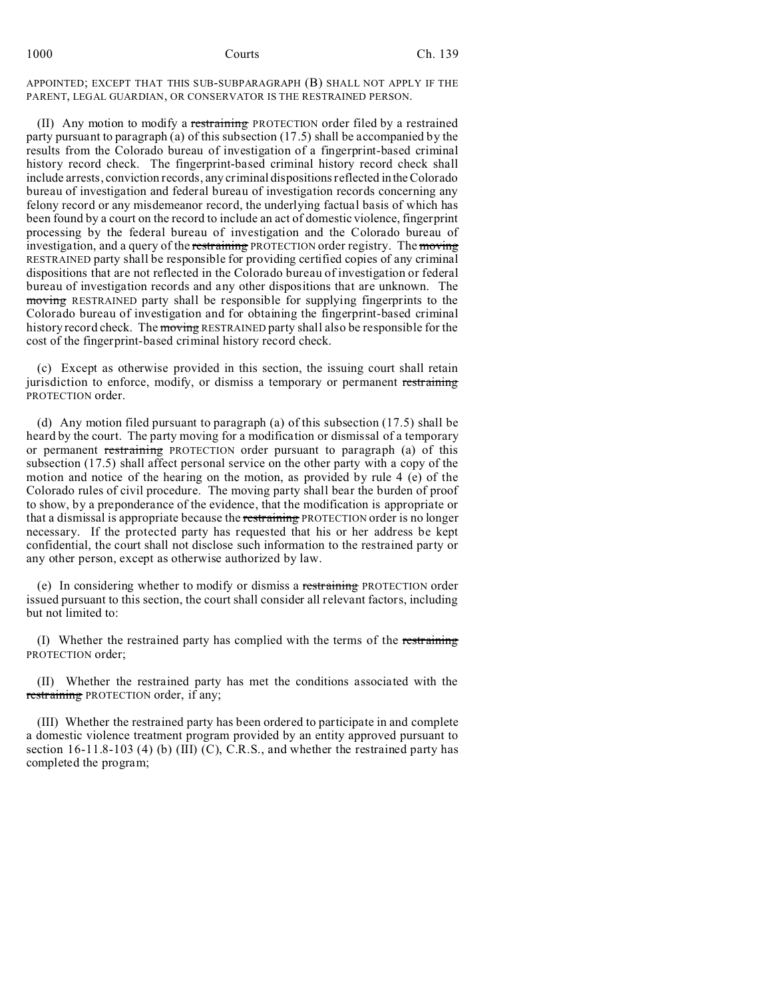APPOINTED; EXCEPT THAT THIS SUB-SUBPARAGRAPH (B) SHALL NOT APPLY IF THE PARENT, LEGAL GUARDIAN, OR CONSERVATOR IS THE RESTRAINED PERSON.

(II) Any motion to modify a restraining PROTECTION order filed by a restrained party pursuant to paragraph (a) of this subsection (17.5) shall be accompanied by the results from the Colorado bureau of investigation of a fingerprint-based criminal history record check. The fingerprint-based criminal history record check shall include arrests, conviction records, any criminal dispositions reflected in the Colorado bureau of investigation and federal bureau of investigation records concerning any felony record or any misdemeanor record, the underlying factual basis of which has been found by a court on the record to include an act of domestic violence, fingerprint processing by the federal bureau of investigation and the Colorado bureau of investigation, and a query of the restraining PROTECTION order registry. The moving RESTRAINED party shall be responsible for providing certified copies of any criminal dispositions that are not reflected in the Colorado bureau of investigation or federal bureau of investigation records and any other dispositions that are unknown. The moving RESTRAINED party shall be responsible for supplying fingerprints to the Colorado bureau of investigation and for obtaining the fingerprint-based criminal history record check. The moving RESTRAINED party shall also be responsible for the cost of the fingerprint-based criminal history record check.

(c) Except as otherwise provided in this section, the issuing court shall retain jurisdiction to enforce, modify, or dismiss a temporary or permanent restraining PROTECTION order.

(d) Any motion filed pursuant to paragraph (a) of this subsection (17.5) shall be heard by the court. The party moving for a modification or dismissal of a temporary or permanent restraining PROTECTION order pursuant to paragraph (a) of this subsection (17.5) shall affect personal service on the other party with a copy of the motion and notice of the hearing on the motion, as provided by rule 4 (e) of the Colorado rules of civil procedure. The moving party shall bear the burden of proof to show, by a preponderance of the evidence, that the modification is appropriate or that a dismissal is appropriate because the restraining PROTECTION order is no longer necessary. If the protected party has requested that his or her address be kept confidential, the court shall not disclose such information to the restrained party or any other person, except as otherwise authorized by law.

(e) In considering whether to modify or dismiss a restraining PROTECTION order issued pursuant to this section, the court shall consider all relevant factors, including but not limited to:

(I) Whether the restrained party has complied with the terms of the restraining PROTECTION order;

(II) Whether the restrained party has met the conditions associated with the restraining PROTECTION order, if any;

(III) Whether the restrained party has been ordered to participate in and complete a domestic violence treatment program provided by an entity approved pursuant to section  $16-11.8-103$  (4) (b) (III) (C), C.R.S., and whether the restrained party has completed the program;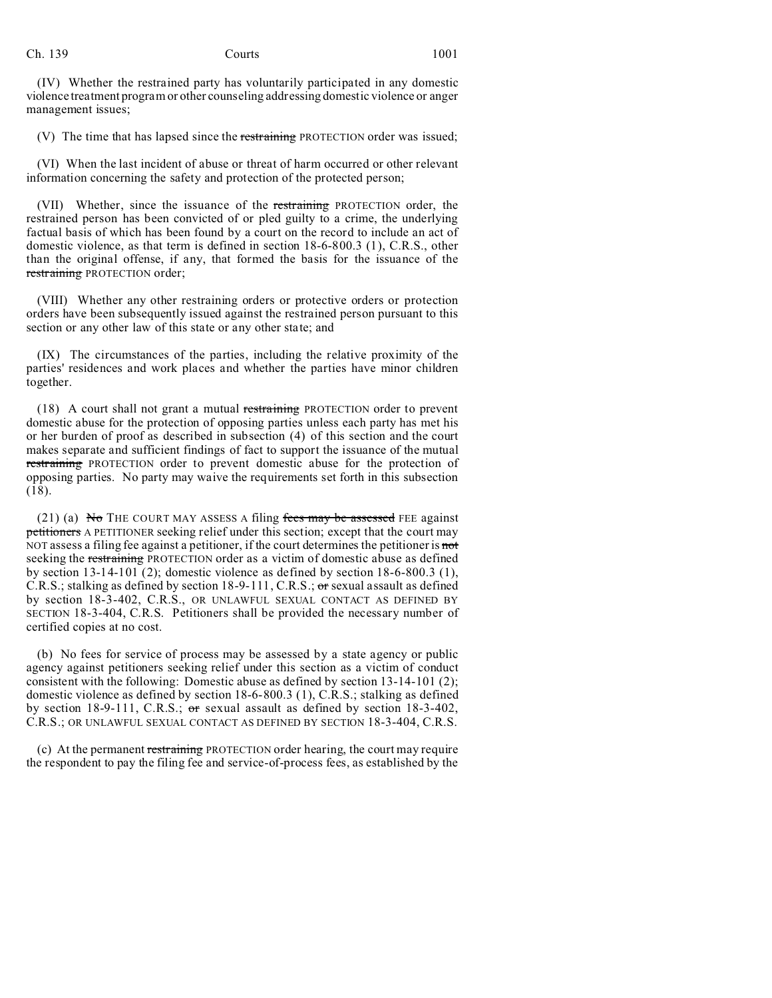(IV) Whether the restrained party has voluntarily participated in any domestic violence treatment program or other counseling addressing domestic violence or anger management issues;

(V) The time that has lapsed since the restraining PROTECTION order was issued;

(VI) When the last incident of abuse or threat of harm occurred or other relevant information concerning the safety and protection of the protected person;

(VII) Whether, since the issuance of the restraining PROTECTION order, the restrained person has been convicted of or pled guilty to a crime, the underlying factual basis of which has been found by a court on the record to include an act of domestic violence, as that term is defined in section 18-6-800.3 (1), C.R.S., other than the original offense, if any, that formed the basis for the issuance of the restraining PROTECTION order;

(VIII) Whether any other restraining orders or protective orders or protection orders have been subsequently issued against the restrained person pursuant to this section or any other law of this state or any other state; and

(IX) The circumstances of the parties, including the relative proximity of the parties' residences and work places and whether the parties have minor children together.

(18) A court shall not grant a mutual restraining PROTECTION order to prevent domestic abuse for the protection of opposing parties unless each party has met his or her burden of proof as described in subsection (4) of this section and the court makes separate and sufficient findings of fact to support the issuance of the mutual restraining PROTECTION order to prevent domestic abuse for the protection of opposing parties. No party may waive the requirements set forth in this subsection (18).

(21) (a) No THE COURT MAY ASSESS A filing fees may be assessed FEE against petitioners A PETITIONER seeking relief under this section; except that the court may NOT assess a filing fee against a petitioner, if the court determines the petitioner is not seeking the restraining PROTECTION order as a victim of domestic abuse as defined by section 13-14-101 (2); domestic violence as defined by section 18-6-800.3 (1), C.R.S.; stalking as defined by section  $18-9-111$ , C.R.S.; or sexual assault as defined by section 18-3-402, C.R.S., OR UNLAWFUL SEXUAL CONTACT AS DEFINED BY SECTION 18-3-404, C.R.S. Petitioners shall be provided the necessary number of certified copies at no cost.

(b) No fees for service of process may be assessed by a state agency or public agency against petitioners seeking relief under this section as a victim of conduct consistent with the following: Domestic abuse as defined by section 13-14-101 (2); domestic violence as defined by section 18-6-800.3 (1), C.R.S.; stalking as defined by section 18-9-111, C.R.S.;  $\sigma$ r sexual assault as defined by section 18-3-402, C.R.S.; OR UNLAWFUL SEXUAL CONTACT AS DEFINED BY SECTION 18-3-404, C.R.S.

(c) At the permanent restraining PROTECTION order hearing, the court may require the respondent to pay the filing fee and service-of-process fees, as established by the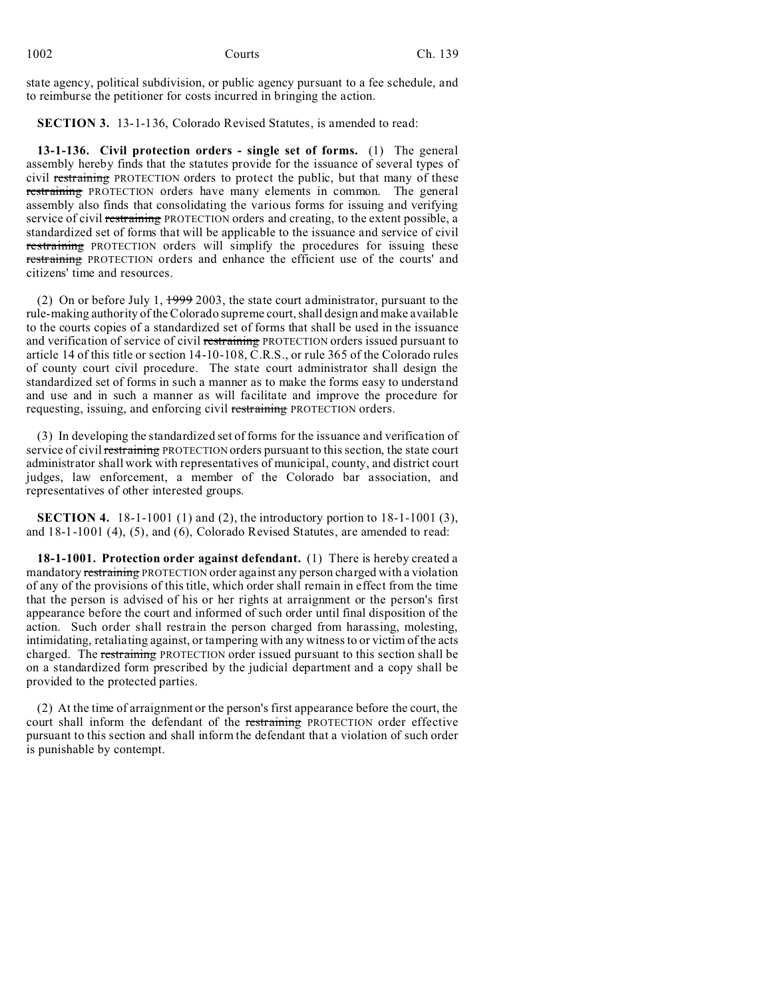| 1002 | Courts | Ch. 139 |
|------|--------|---------|
|      |        |         |

state agency, political subdivision, or public agency pursuant to a fee schedule, and to reimburse the petitioner for costs incurred in bringing the action.

**SECTION 3.** 13-1-136, Colorado Revised Statutes, is amended to read:

**13-1-136. Civil protection orders - single set of forms.** (1) The general assembly hereby finds that the statutes provide for the issuance of several types of civil restraining PROTECTION orders to protect the public, but that many of these restraining PROTECTION orders have many elements in common. The general assembly also finds that consolidating the various forms for issuing and verifying service of civil restraining PROTECTION orders and creating, to the extent possible, a standardized set of forms that will be applicable to the issuance and service of civil restraining PROTECTION orders will simplify the procedures for issuing these restraining PROTECTION orders and enhance the efficient use of the courts' and citizens' time and resources.

(2) On or before July 1,  $\frac{1999}{2003}$ , the state court administrator, pursuant to the rule-making authority of the Colorado supreme court, shall design and make available to the courts copies of a standardized set of forms that shall be used in the issuance and verification of service of civil restraining PROTECTION orders issued pursuant to article 14 of this title or section 14-10-108, C.R.S., or rule 365 of the Colorado rules of county court civil procedure. The state court administrator shall design the standardized set of forms in such a manner as to make the forms easy to understand and use and in such a manner as will facilitate and improve the procedure for requesting, issuing, and enforcing civil restraining PROTECTION orders.

(3) In developing the standardized set of forms for the issuance and verification of service of civil restraining PROTECTION orders pursuant to this section, the state court administrator shall work with representatives of municipal, county, and district court judges, law enforcement, a member of the Colorado bar association, and representatives of other interested groups.

**SECTION 4.** 18-1-1001 (1) and (2), the introductory portion to 18-1-1001 (3), and 18-1-1001 (4), (5), and (6), Colorado Revised Statutes, are amended to read:

**18-1-1001. Protection order against defendant.** (1) There is hereby created a mandatory restraining PROTECTION order against any person charged with a violation of any of the provisions of this title, which order shall remain in effect from the time that the person is advised of his or her rights at arraignment or the person's first appearance before the court and informed of such order until final disposition of the action. Such order shall restrain the person charged from harassing, molesting, intimidating, retaliating against, or tampering with any witness to or victim of the acts charged. The restraining PROTECTION order issued pursuant to this section shall be on a standardized form prescribed by the judicial department and a copy shall be provided to the protected parties.

(2) At the time of arraignment or the person's first appearance before the court, the court shall inform the defendant of the restraining PROTECTION order effective pursuant to this section and shall inform the defendant that a violation of such order is punishable by contempt.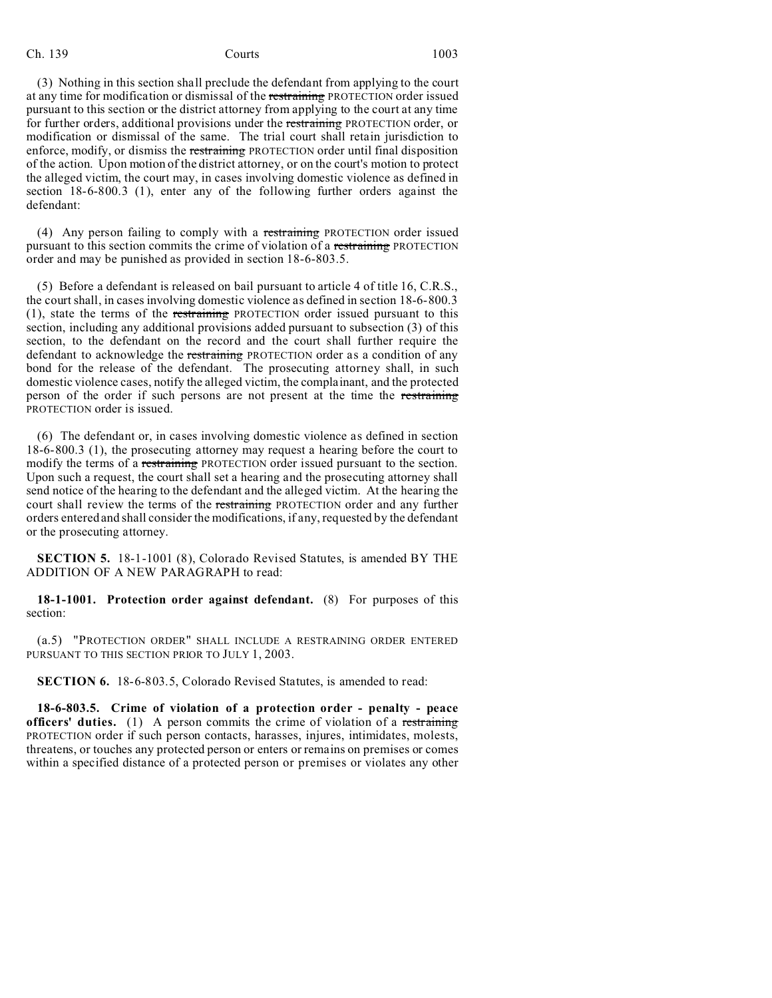(3) Nothing in this section shall preclude the defendant from applying to the court at any time for modification or dismissal of the restraining PROTECTION order issued pursuant to this section or the district attorney from applying to the court at any time for further orders, additional provisions under the restraining PROTECTION order, or modification or dismissal of the same. The trial court shall retain jurisdiction to enforce, modify, or dismiss the restraining PROTECTION order until final disposition of the action. Upon motion of the district attorney, or on the court's motion to protect the alleged victim, the court may, in cases involving domestic violence as defined in section 18-6-800.3 (1), enter any of the following further orders against the defendant:

(4) Any person failing to comply with a restraining PROTECTION order issued pursuant to this section commits the crime of violation of a restraining PROTECTION order and may be punished as provided in section 18-6-803.5.

(5) Before a defendant is released on bail pursuant to article 4 of title 16, C.R.S., the court shall, in cases involving domestic violence as defined in section 18-6-800.3 (1), state the terms of the restraining PROTECTION order issued pursuant to this section, including any additional provisions added pursuant to subsection (3) of this section, to the defendant on the record and the court shall further require the defendant to acknowledge the restraining PROTECTION order as a condition of any bond for the release of the defendant. The prosecuting attorney shall, in such domestic violence cases, notify the alleged victim, the complainant, and the protected person of the order if such persons are not present at the time the restraining PROTECTION order is issued.

(6) The defendant or, in cases involving domestic violence as defined in section 18-6-800.3 (1), the prosecuting attorney may request a hearing before the court to modify the terms of a restraining PROTECTION order issued pursuant to the section. Upon such a request, the court shall set a hearing and the prosecuting attorney shall send notice of the hearing to the defendant and the alleged victim. At the hearing the court shall review the terms of the restraining PROTECTION order and any further orders entered and shall consider the modifications, if any, requested by the defendant or the prosecuting attorney.

**SECTION 5.** 18-1-1001 (8), Colorado Revised Statutes, is amended BY THE ADDITION OF A NEW PARAGRAPH to read:

**18-1-1001. Protection order against defendant.** (8) For purposes of this section:

(a.5) "PROTECTION ORDER" SHALL INCLUDE A RESTRAINING ORDER ENTERED PURSUANT TO THIS SECTION PRIOR TO JULY 1, 2003.

**SECTION 6.** 18-6-803.5, Colorado Revised Statutes, is amended to read:

**18-6-803.5. Crime of violation of a protection order - penalty - peace officers' duties.** (1) A person commits the crime of violation of a restraining PROTECTION order if such person contacts, harasses, injures, intimidates, molests, threatens, or touches any protected person or enters or remains on premises or comes within a specified distance of a protected person or premises or violates any other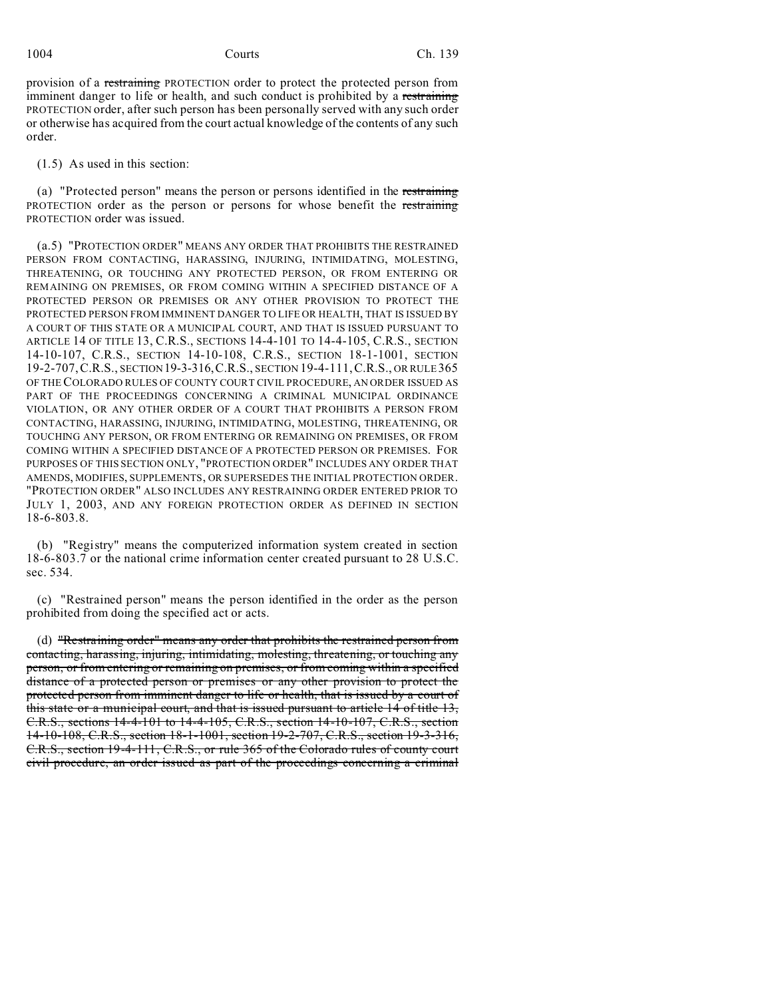provision of a restraining PROTECTION order to protect the protected person from imminent danger to life or health, and such conduct is prohibited by a restraining PROTECTION order, after such person has been personally served with any such order or otherwise has acquired from the court actual knowledge of the contents of any such order.

(1.5) As used in this section:

(a) "Protected person" means the person or persons identified in the restraining PROTECTION order as the person or persons for whose benefit the restraining PROTECTION order was issued.

(a.5) "PROTECTION ORDER" MEANS ANY ORDER THAT PROHIBITS THE RESTRAINED PERSON FROM CONTACTING, HARASSING, INJURING, INTIMIDATING, MOLESTING, THREATENING, OR TOUCHING ANY PROTECTED PERSON, OR FROM ENTERING OR REMAINING ON PREMISES, OR FROM COMING WITHIN A SPECIFIED DISTANCE OF A PROTECTED PERSON OR PREMISES OR ANY OTHER PROVISION TO PROTECT THE PROTECTED PERSON FROM IMMINENT DANGER TO LIFE OR HEALTH, THAT IS ISSUED BY A COURT OF THIS STATE OR A MUNICIPAL COURT, AND THAT IS ISSUED PURSUANT TO ARTICLE 14 OF TITLE 13, C.R.S., SECTIONS 14-4-101 TO 14-4-105, C.R.S., SECTION 14-10-107, C.R.S., SECTION 14-10-108, C.R.S., SECTION 18-1-1001, SECTION 19-2-707,C.R.S., SECTION19-3-316,C.R.S., SECTION 19-4-111,C.R.S., OR RULE 365 OF THE COLORADO RULES OF COUNTY COURT CIVIL PROCEDURE, AN ORDER ISSUED AS PART OF THE PROCEEDINGS CONCERNING A CRIMINAL MUNICIPAL ORDINANCE VIOLATION, OR ANY OTHER ORDER OF A COURT THAT PROHIBITS A PERSON FROM CONTACTING, HARASSING, INJURING, INTIMIDATING, MOLESTING, THREATENING, OR TOUCHING ANY PERSON, OR FROM ENTERING OR REMAINING ON PREMISES, OR FROM COMING WITHIN A SPECIFIED DISTANCE OF A PROTECTED PERSON OR PREMISES. FOR PURPOSES OF THIS SECTION ONLY, "PROTECTION ORDER" INCLUDES ANY ORDER THAT AMENDS, MODIFIES, SUPPLEMENTS, OR SUPERSEDES THE INITIAL PROTECTION ORDER. "PROTECTION ORDER" ALSO INCLUDES ANY RESTRAINING ORDER ENTERED PRIOR TO JULY 1, 2003, AND ANY FOREIGN PROTECTION ORDER AS DEFINED IN SECTION 18-6-803.8.

(b) "Registry" means the computerized information system created in section 18-6-803.7 or the national crime information center created pursuant to 28 U.S.C. sec. 534.

(c) "Restrained person" means the person identified in the order as the person prohibited from doing the specified act or acts.

(d) "Restraining order" means any order that prohibits the restrained person from contacting, harassing, injuring, intimidating, molesting, threatening, or touching any person, or from entering or remaining on premises, or from coming within a specified distance of a protected person or premises or any other provision to protect the protected person from imminent danger to life or health, that is issued by a court of this state or a municipal court, and that is issued pursuant to article 14 of title 13, C.R.S., sections 14-4-101 to 14-4-105, C.R.S., section 14-10-107, C.R.S., section 14-10-108, C.R.S., section 18-1-1001, section 19-2-707, C.R.S., section 19-3-316, C.R.S., section 19-4-111, C.R.S., or rule 365 of the Colorado rules of county court civil procedure, an order issued as part of the proceedings concerning a criminal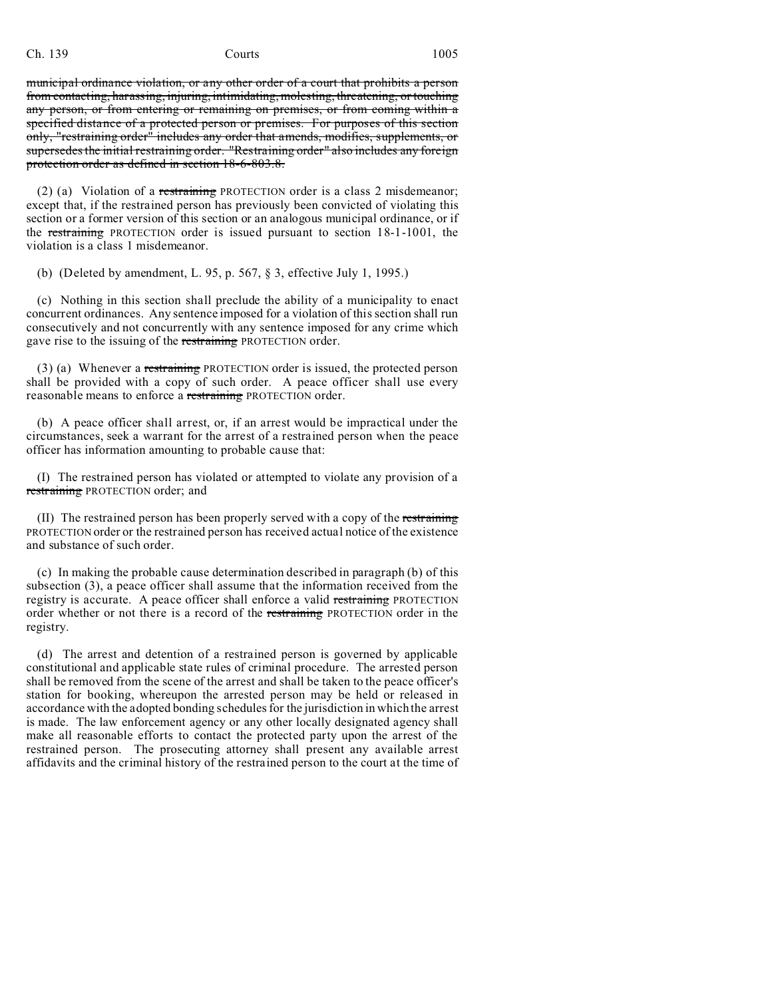municipal ordinance violation, or any other order of a court that prohibits a person from contacting, harassing, injuring, intimidating, molesting, threatening, or touching any person, or from entering or remaining on premises, or from coming within a specified distance of a protected person or premises. For purposes of this section only, "restraining order" includes any order that amends, modifies, supplements, or supersedes the initial restraining order. "Restraining order" also includes any foreign protection order as defined in section 18-6-803.8.

(2) (a) Violation of a restraining PROTECTION order is a class 2 misdemeanor; except that, if the restrained person has previously been convicted of violating this section or a former version of this section or an analogous municipal ordinance, or if the restraining PROTECTION order is issued pursuant to section 18-1-1001, the violation is a class 1 misdemeanor.

(b) (Deleted by amendment, L. 95, p. 567, § 3, effective July 1, 1995.)

(c) Nothing in this section shall preclude the ability of a municipality to enact concurrent ordinances. Any sentence imposed for a violation of this section shall run consecutively and not concurrently with any sentence imposed for any crime which gave rise to the issuing of the restraining PROTECTION order.

(3) (a) Whenever a restraining PROTECTION order is issued, the protected person shall be provided with a copy of such order. A peace officer shall use every reasonable means to enforce a restraining PROTECTION order.

(b) A peace officer shall arrest, or, if an arrest would be impractical under the circumstances, seek a warrant for the arrest of a restrained person when the peace officer has information amounting to probable cause that:

(I) The restrained person has violated or attempted to violate any provision of a restraining PROTECTION order; and

(II) The restrained person has been properly served with a copy of the restraining PROTECTION order or the restrained person has received actual notice of the existence and substance of such order.

(c) In making the probable cause determination described in paragraph (b) of this subsection (3), a peace officer shall assume that the information received from the registry is accurate. A peace officer shall enforce a valid restraining PROTECTION order whether or not there is a record of the restraining PROTECTION order in the registry.

(d) The arrest and detention of a restrained person is governed by applicable constitutional and applicable state rules of criminal procedure. The arrested person shall be removed from the scene of the arrest and shall be taken to the peace officer's station for booking, whereupon the arrested person may be held or released in accordance with the adopted bonding schedules for the jurisdiction in which the arrest is made. The law enforcement agency or any other locally designated agency shall make all reasonable efforts to contact the protected party upon the arrest of the restrained person. The prosecuting attorney shall present any available arrest affidavits and the criminal history of the restrained person to the court at the time of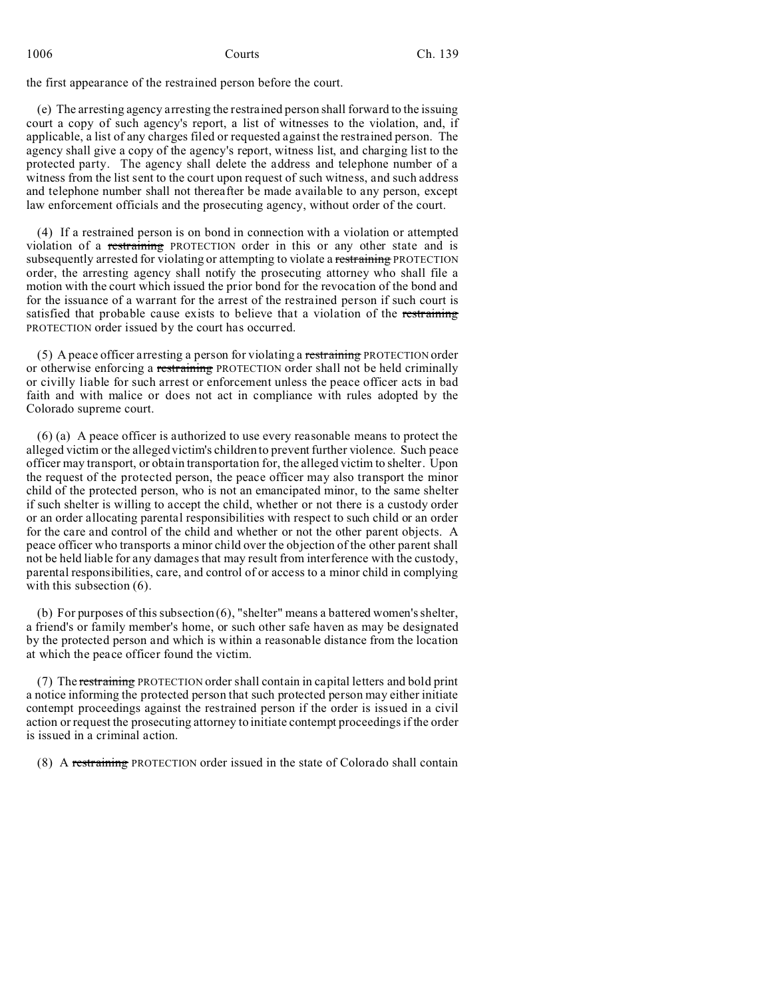the first appearance of the restrained person before the court.

(e) The arresting agency arresting the restrained person shall forward to the issuing court a copy of such agency's report, a list of witnesses to the violation, and, if applicable, a list of any charges filed or requested against the restrained person. The agency shall give a copy of the agency's report, witness list, and charging list to the protected party. The agency shall delete the address and telephone number of a witness from the list sent to the court upon request of such witness, and such address and telephone number shall not thereafter be made available to any person, except law enforcement officials and the prosecuting agency, without order of the court.

(4) If a restrained person is on bond in connection with a violation or attempted violation of a restraining PROTECTION order in this or any other state and is subsequently arrested for violating or attempting to violate a restraining PROTECTION order, the arresting agency shall notify the prosecuting attorney who shall file a motion with the court which issued the prior bond for the revocation of the bond and for the issuance of a warrant for the arrest of the restrained person if such court is satisfied that probable cause exists to believe that a violation of the restraining PROTECTION order issued by the court has occurred.

(5) A peace officer arresting a person for violating a restraining PROTECTION order or otherwise enforcing a restraining PROTECTION order shall not be held criminally or civilly liable for such arrest or enforcement unless the peace officer acts in bad faith and with malice or does not act in compliance with rules adopted by the Colorado supreme court.

(6) (a) A peace officer is authorized to use every reasonable means to protect the alleged victim or the alleged victim's children to prevent further violence. Such peace officer may transport, or obtain transportation for, the alleged victim to shelter. Upon the request of the protected person, the peace officer may also transport the minor child of the protected person, who is not an emancipated minor, to the same shelter if such shelter is willing to accept the child, whether or not there is a custody order or an order allocating parental responsibilities with respect to such child or an order for the care and control of the child and whether or not the other parent objects. A peace officer who transports a minor child over the objection of the other parent shall not be held liable for any damages that may result from interference with the custody, parental responsibilities, care, and control of or access to a minor child in complying with this subsection  $(6)$ .

(b) For purposes of this subsection (6), "shelter" means a battered women's shelter, a friend's or family member's home, or such other safe haven as may be designated by the protected person and which is within a reasonable distance from the location at which the peace officer found the victim.

(7) The restraining PROTECTION order shall contain in capital letters and bold print a notice informing the protected person that such protected person may either initiate contempt proceedings against the restrained person if the order is issued in a civil action or request the prosecuting attorney to initiate contempt proceedings if the order is issued in a criminal action.

(8) A restraining PROTECTION order issued in the state of Colorado shall contain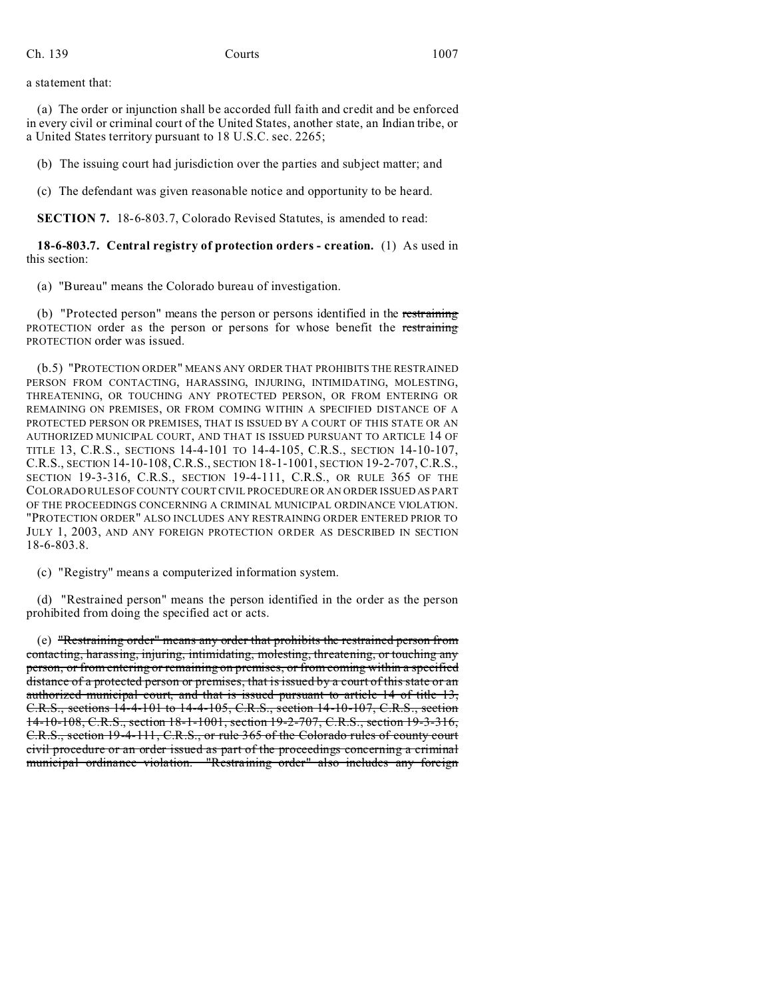## a statement that:

(a) The order or injunction shall be accorded full faith and credit and be enforced in every civil or criminal court of the United States, another state, an Indian tribe, or a United States territory pursuant to 18 U.S.C. sec. 2265;

(b) The issuing court had jurisdiction over the parties and subject matter; and

(c) The defendant was given reasonable notice and opportunity to be heard.

**SECTION 7.** 18-6-803.7, Colorado Revised Statutes, is amended to read:

**18-6-803.7. Central registry of protection orders - creation.** (1) As used in this section:

(a) "Bureau" means the Colorado bureau of investigation.

(b) "Protected person" means the person or persons identified in the restraining PROTECTION order as the person or persons for whose benefit the restraining PROTECTION order was issued.

(b.5) "PROTECTION ORDER" MEANS ANY ORDER THAT PROHIBITS THE RESTRAINED PERSON FROM CONTACTING, HARASSING, INJURING, INTIMIDATING, MOLESTING, THREATENING, OR TOUCHING ANY PROTECTED PERSON, OR FROM ENTERING OR REMAINING ON PREMISES, OR FROM COMING WITHIN A SPECIFIED DISTANCE OF A PROTECTED PERSON OR PREMISES, THAT IS ISSUED BY A COURT OF THIS STATE OR AN AUTHORIZED MUNICIPAL COURT, AND THAT IS ISSUED PURSUANT TO ARTICLE 14 OF TITLE 13, C.R.S., SECTIONS 14-4-101 TO 14-4-105, C.R.S., SECTION 14-10-107, C.R.S., SECTION 14-10-108,C.R.S., SECTION 18-1-1001, SECTION 19-2-707, C.R.S., SECTION 19-3-316, C.R.S., SECTION 19-4-111, C.R.S., OR RULE 365 OF THE COLORADO RULES OF COUNTY COURT CIVIL PROCEDURE OR AN ORDER ISSUED AS PART OF THE PROCEEDINGS CONCERNING A CRIMINAL MUNICIPAL ORDINANCE VIOLATION. "PROTECTION ORDER" ALSO INCLUDES ANY RESTRAINING ORDER ENTERED PRIOR TO JULY 1, 2003, AND ANY FOREIGN PROTECTION ORDER AS DESCRIBED IN SECTION 18-6-803.8.

(c) "Registry" means a computerized information system.

(d) "Restrained person" means the person identified in the order as the person prohibited from doing the specified act or acts.

(e) "Restraining order" means any order that prohibits the restrained person from contacting, harassing, injuring, intimidating, molesting, threatening, or touching any person, or from entering or remaining on premises, or from coming within a specified distance of a protected person or premises, that is issued by a court of this state or an authorized municipal court, and that is issued pursuant to article 14 of title 13, C.R.S., sections 14-4-101 to 14-4-105, C.R.S., section 14-10-107, C.R.S., section 14-10-108, C.R.S., section 18-1-1001, section 19-2-707, C.R.S., section 19-3-316, C.R.S., section 19-4-111, C.R.S., or rule 365 of the Colorado rules of county court civil procedure or an order issued as part of the proceedings concerning a criminal municipal ordinance violation. "Restraining order" also includes any foreign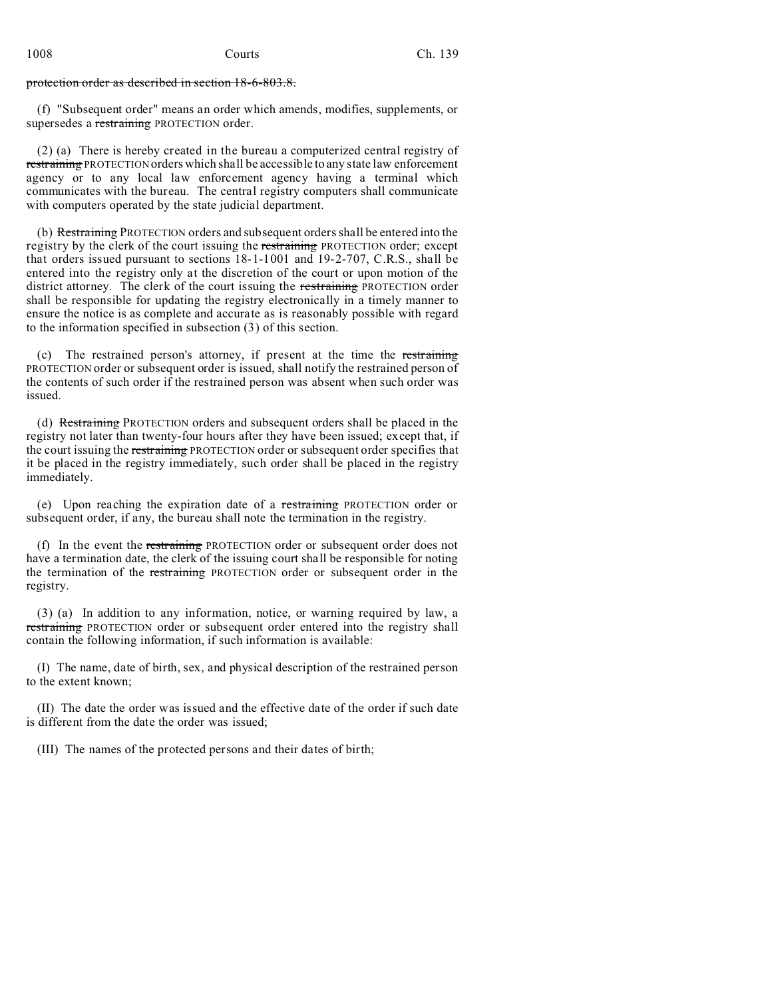protection order as described in section 18-6-803.8.

(f) "Subsequent order" means an order which amends, modifies, supplements, or supersedes a restraining PROTECTION order.

(2) (a) There is hereby created in the bureau a computerized central registry of restraining PROTECTION orders which shall be accessible to any state law enforcement agency or to any local law enforcement agency having a terminal which communicates with the bureau. The central registry computers shall communicate with computers operated by the state judicial department.

(b) Restraining PROTECTION orders and subsequent orders shall be entered into the registry by the clerk of the court issuing the restraining PROTECTION order; except that orders issued pursuant to sections 18-1-1001 and 19-2-707, C.R.S., shall be entered into the registry only at the discretion of the court or upon motion of the district attorney. The clerk of the court issuing the restraining PROTECTION order shall be responsible for updating the registry electronically in a timely manner to ensure the notice is as complete and accurate as is reasonably possible with regard to the information specified in subsection (3) of this section.

(c) The restrained person's attorney, if present at the time the restraining PROTECTION order or subsequent order is issued, shall notify the restrained person of the contents of such order if the restrained person was absent when such order was issued.

(d) Restraining PROTECTION orders and subsequent orders shall be placed in the registry not later than twenty-four hours after they have been issued; except that, if the court issuing the restraining PROTECTION order or subsequent order specifies that it be placed in the registry immediately, such order shall be placed in the registry immediately.

(e) Upon reaching the expiration date of a restraining PROTECTION order or subsequent order, if any, the bureau shall note the termination in the registry.

(f) In the event the restraining PROTECTION order or subsequent order does not have a termination date, the clerk of the issuing court shall be responsible for noting the termination of the restraining PROTECTION order or subsequent order in the registry.

(3) (a) In addition to any information, notice, or warning required by law, a restraining PROTECTION order or subsequent order entered into the registry shall contain the following information, if such information is available:

(I) The name, date of birth, sex, and physical description of the restrained person to the extent known;

(II) The date the order was issued and the effective date of the order if such date is different from the date the order was issued;

(III) The names of the protected persons and their dates of birth;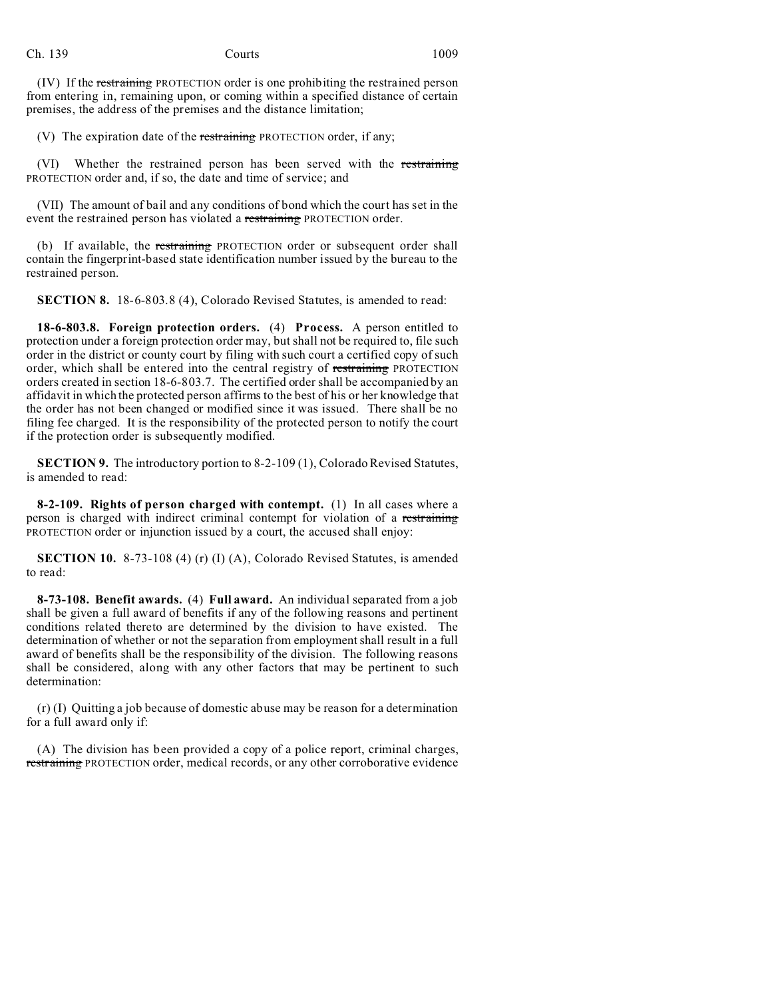Ch. 139 Courts 1009

(IV) If the restraining PROTECTION order is one prohibiting the restrained person from entering in, remaining upon, or coming within a specified distance of certain premises, the address of the premises and the distance limitation;

(V) The expiration date of the restraining PROTECTION order, if any;

(VI) Whether the restrained person has been served with the restraining PROTECTION order and, if so, the date and time of service; and

(VII) The amount of bail and any conditions of bond which the court has set in the event the restrained person has violated a restraining PROTECTION order.

(b) If available, the restraining PROTECTION order or subsequent order shall contain the fingerprint-based state identification number issued by the bureau to the restrained person.

**SECTION 8.** 18-6-803.8 (4), Colorado Revised Statutes, is amended to read:

**18-6-803.8. Foreign protection orders.** (4) **Process.** A person entitled to protection under a foreign protection order may, but shall not be required to, file such order in the district or county court by filing with such court a certified copy of such order, which shall be entered into the central registry of restraining PROTECTION orders created in section 18-6-803.7. The certified order shall be accompanied by an affidavit in which the protected person affirms to the best of his or her knowledge that the order has not been changed or modified since it was issued. There shall be no filing fee charged. It is the responsibility of the protected person to notify the court if the protection order is subsequently modified.

**SECTION 9.** The introductory portion to 8-2-109 (1), Colorado Revised Statutes, is amended to read:

**8-2-109. Rights of person charged with contempt.** (1) In all cases where a person is charged with indirect criminal contempt for violation of a restraining PROTECTION order or injunction issued by a court, the accused shall enjoy:

**SECTION 10.** 8-73-108 (4) (r) (I) (A), Colorado Revised Statutes, is amended to read:

**8-73-108. Benefit awards.** (4) **Full award.** An individual separated from a job shall be given a full award of benefits if any of the following reasons and pertinent conditions related thereto are determined by the division to have existed. The determination of whether or not the separation from employment shall result in a full award of benefits shall be the responsibility of the division. The following reasons shall be considered, along with any other factors that may be pertinent to such determination:

(r) (I) Quitting a job because of domestic abuse may be reason for a determination for a full award only if:

(A) The division has been provided a copy of a police report, criminal charges, restraining PROTECTION order, medical records, or any other corroborative evidence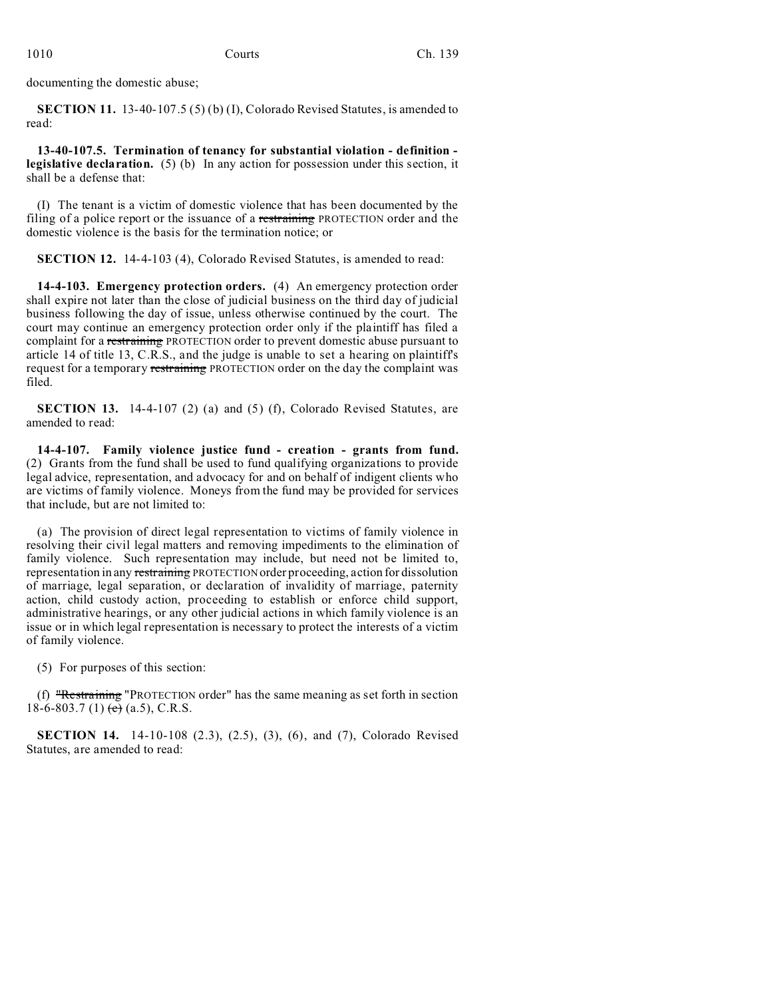documenting the domestic abuse;

**SECTION 11.** 13-40-107.5 (5) (b) (I), Colorado Revised Statutes, is amended to read:

**13-40-107.5. Termination of tenancy for substantial violation - definition legislative declaration.** (5) (b) In any action for possession under this section, it shall be a defense that:

(I) The tenant is a victim of domestic violence that has been documented by the filing of a police report or the issuance of a restraining PROTECTION order and the domestic violence is the basis for the termination notice; or

**SECTION 12.** 14-4-103 (4), Colorado Revised Statutes, is amended to read:

**14-4-103. Emergency protection orders.** (4) An emergency protection order shall expire not later than the close of judicial business on the third day of judicial business following the day of issue, unless otherwise continued by the court. The court may continue an emergency protection order only if the plaintiff has filed a complaint for a restraining PROTECTION order to prevent domestic abuse pursuant to article 14 of title 13, C.R.S., and the judge is unable to set a hearing on plaintiff's request for a temporary restraining PROTECTION order on the day the complaint was filed.

**SECTION 13.** 14-4-107 (2) (a) and (5) (f), Colorado Revised Statutes, are amended to read:

**14-4-107. Family violence justice fund - creation - grants from fund.** (2) Grants from the fund shall be used to fund qualifying organizations to provide legal advice, representation, and advocacy for and on behalf of indigent clients who are victims of family violence. Moneys from the fund may be provided for services that include, but are not limited to:

(a) The provision of direct legal representation to victims of family violence in resolving their civil legal matters and removing impediments to the elimination of family violence. Such representation may include, but need not be limited to, representation in any restraining PROTECTION order proceeding, action for dissolution of marriage, legal separation, or declaration of invalidity of marriage, paternity action, child custody action, proceeding to establish or enforce child support, administrative hearings, or any other judicial actions in which family violence is an issue or in which legal representation is necessary to protect the interests of a victim of family violence.

(5) For purposes of this section:

(f) "Restraining "PROTECTION order" has the same meaning as set forth in section 18-6-803.7 (1)  $\leftrightarrow$  (a.5), C.R.S.

**SECTION 14.** 14-10-108 (2.3), (2.5), (3), (6), and (7), Colorado Revised Statutes, are amended to read: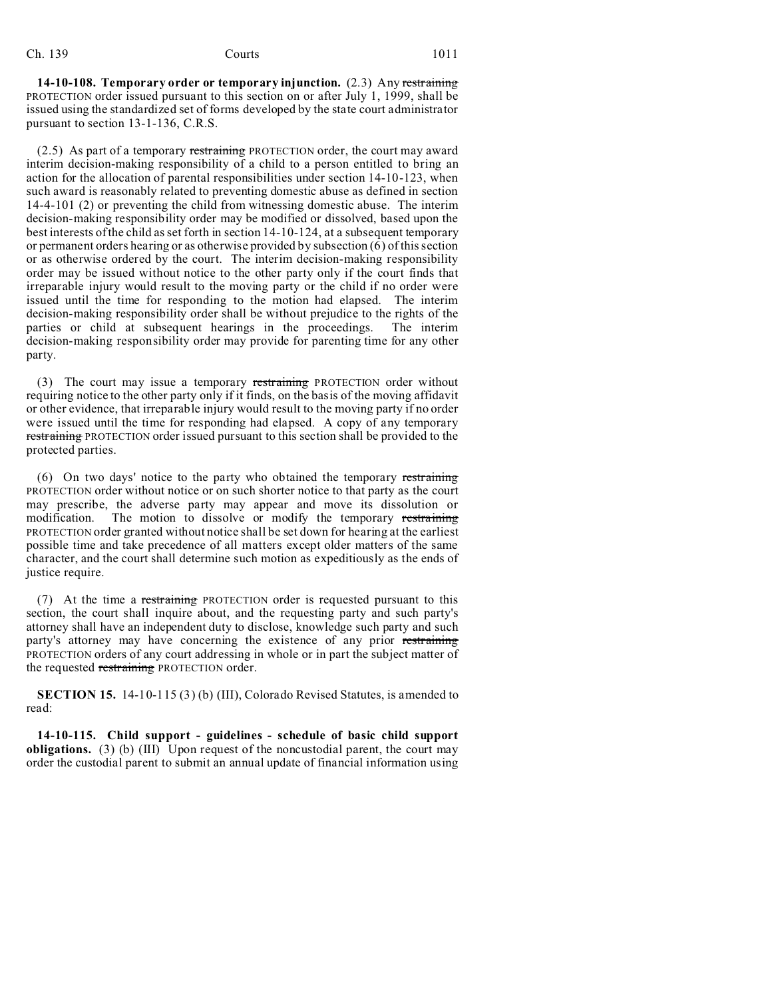**14-10-108. Temporary order or temporary injunction.** (2.3) Any restraining PROTECTION order issued pursuant to this section on or after July 1, 1999, shall be issued using the standardized set of forms developed by the state court administrator pursuant to section 13-1-136, C.R.S.

 $(2.5)$  As part of a temporary restraining PROTECTION order, the court may award interim decision-making responsibility of a child to a person entitled to bring an action for the allocation of parental responsibilities under section 14-10-123, when such award is reasonably related to preventing domestic abuse as defined in section 14-4-101 (2) or preventing the child from witnessing domestic abuse. The interim decision-making responsibility order may be modified or dissolved, based upon the best interests of the child as set forth in section 14-10-124, at a subsequent temporary or permanent orders hearing or as otherwise provided by subsection (6) of this section or as otherwise ordered by the court. The interim decision-making responsibility order may be issued without notice to the other party only if the court finds that irreparable injury would result to the moving party or the child if no order were issued until the time for responding to the motion had elapsed. The interim decision-making responsibility order shall be without prejudice to the rights of the parties or child at subsequent hearings in the proceedings. The interim decision-making responsibility order may provide for parenting time for any other party.

(3) The court may issue a temporary restraining PROTECTION order without requiring notice to the other party only if it finds, on the basis of the moving affidavit or other evidence, that irreparable injury would result to the moving party if no order were issued until the time for responding had elapsed. A copy of any temporary restraining PROTECTION order issued pursuant to this section shall be provided to the protected parties.

(6) On two days' notice to the party who obtained the temporary restraining PROTECTION order without notice or on such shorter notice to that party as the court may prescribe, the adverse party may appear and move its dissolution or modification. The motion to dissolve or modify the temporary restraining PROTECTION order granted without notice shall be set down for hearing at the earliest possible time and take precedence of all matters except older matters of the same character, and the court shall determine such motion as expeditiously as the ends of justice require.

(7) At the time a restraining PROTECTION order is requested pursuant to this section, the court shall inquire about, and the requesting party and such party's attorney shall have an independent duty to disclose, knowledge such party and such party's attorney may have concerning the existence of any prior restraining PROTECTION orders of any court addressing in whole or in part the subject matter of the requested restraining PROTECTION order.

**SECTION 15.** 14-10-115 (3) (b) (III), Colorado Revised Statutes, is amended to read:

**14-10-115. Child support - guidelines - schedule of basic child support obligations.** (3) (b) (III) Upon request of the noncustodial parent, the court may order the custodial parent to submit an annual update of financial information using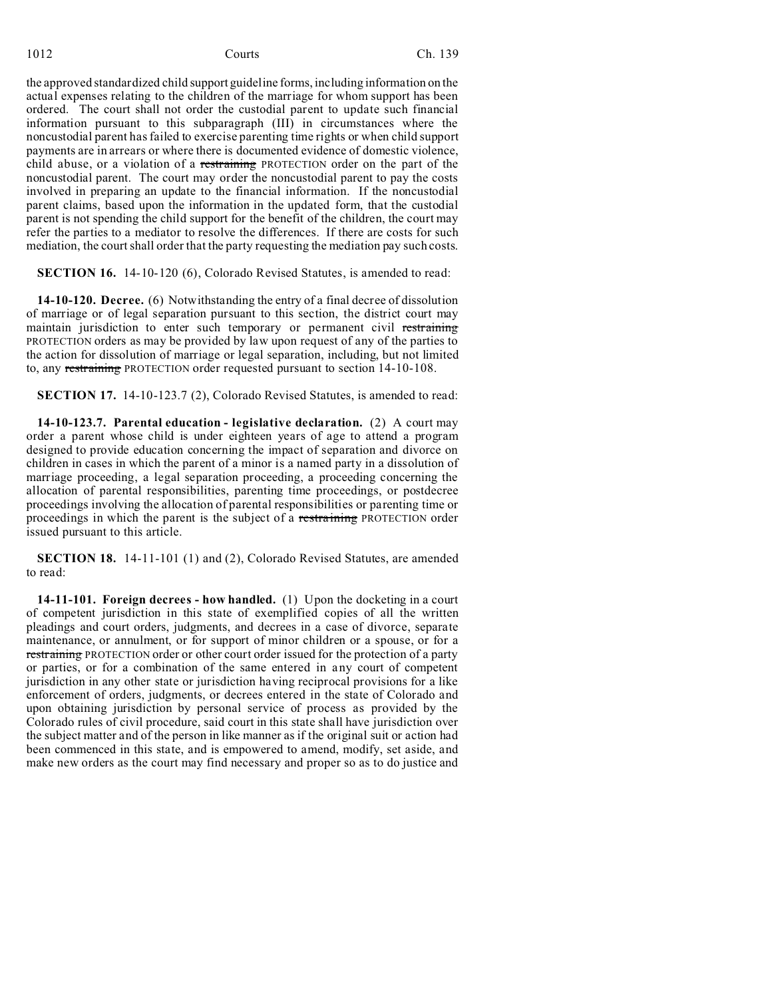the approved standardized child support guideline forms, including information on the actual expenses relating to the children of the marriage for whom support has been ordered. The court shall not order the custodial parent to update such financial information pursuant to this subparagraph (III) in circumstances where the noncustodial parent has failed to exercise parenting time rights or when child support payments are in arrears or where there is documented evidence of domestic violence, child abuse, or a violation of a restraining PROTECTION order on the part of the noncustodial parent. The court may order the noncustodial parent to pay the costs involved in preparing an update to the financial information. If the noncustodial parent claims, based upon the information in the updated form, that the custodial parent is not spending the child support for the benefit of the children, the court may refer the parties to a mediator to resolve the differences. If there are costs for such mediation, the court shall order that the party requesting the mediation pay such costs.

**SECTION 16.** 14-10-120 (6), Colorado Revised Statutes, is amended to read:

**14-10-120. Decree.** (6) Notwithstanding the entry of a final decree of dissolution of marriage or of legal separation pursuant to this section, the district court may maintain jurisdiction to enter such temporary or permanent civil restraining PROTECTION orders as may be provided by law upon request of any of the parties to the action for dissolution of marriage or legal separation, including, but not limited to, any restraining PROTECTION order requested pursuant to section 14-10-108.

**SECTION 17.** 14-10-123.7 (2), Colorado Revised Statutes, is amended to read:

**14-10-123.7. Parental education - legislative declaration.** (2) A court may order a parent whose child is under eighteen years of age to attend a program designed to provide education concerning the impact of separation and divorce on children in cases in which the parent of a minor is a named party in a dissolution of marriage proceeding, a legal separation proceeding, a proceeding concerning the allocation of parental responsibilities, parenting time proceedings, or postdecree proceedings involving the allocation of parental responsibilities or parenting time or proceedings in which the parent is the subject of a restraining PROTECTION order issued pursuant to this article.

**SECTION 18.** 14-11-101 (1) and (2), Colorado Revised Statutes, are amended to read:

**14-11-101. Foreign decrees - how handled.** (1) Upon the docketing in a court of competent jurisdiction in this state of exemplified copies of all the written pleadings and court orders, judgments, and decrees in a case of divorce, separate maintenance, or annulment, or for support of minor children or a spouse, or for a restraining PROTECTION order or other court order issued for the protection of a party or parties, or for a combination of the same entered in any court of competent jurisdiction in any other state or jurisdiction having reciprocal provisions for a like enforcement of orders, judgments, or decrees entered in the state of Colorado and upon obtaining jurisdiction by personal service of process as provided by the Colorado rules of civil procedure, said court in this state shall have jurisdiction over the subject matter and of the person in like manner as if the original suit or action had been commenced in this state, and is empowered to amend, modify, set aside, and make new orders as the court may find necessary and proper so as to do justice and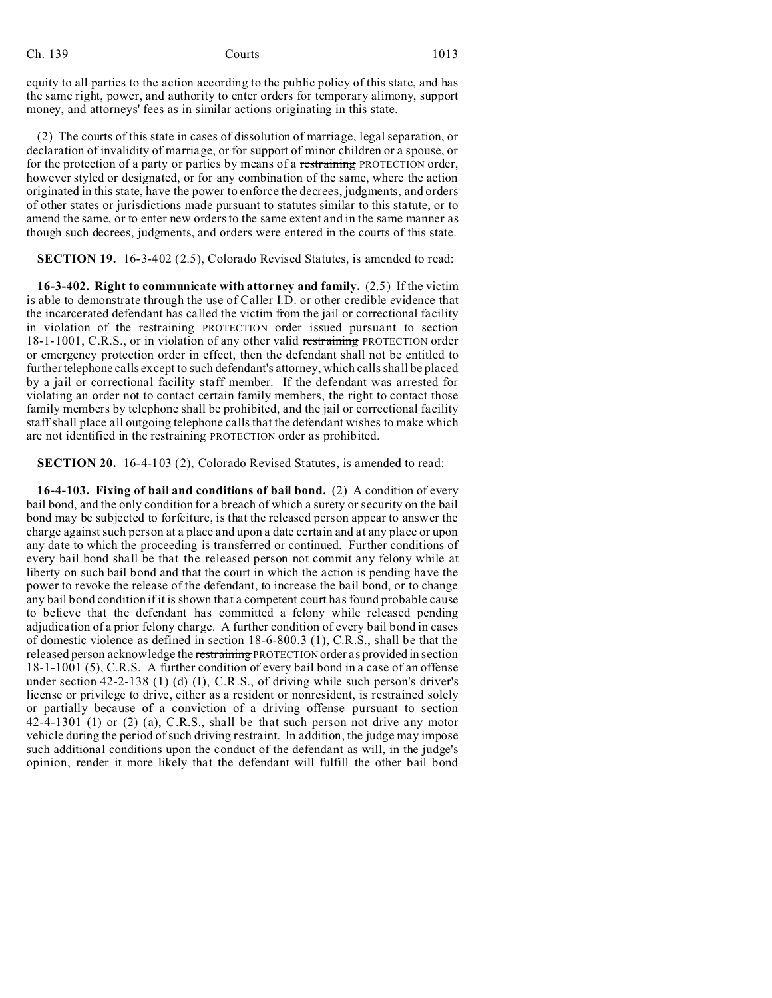### Ch. 139 Courts 1013

equity to all parties to the action according to the public policy of this state, and has the same right, power, and authority to enter orders for temporary alimony, support money, and attorneys' fees as in similar actions originating in this state.

(2) The courts of this state in cases of dissolution of marriage, legal separation, or declaration of invalidity of marriage, or for support of minor children or a spouse, or for the protection of a party or parties by means of a restraining PROTECTION order, however styled or designated, or for any combination of the same, where the action originated in this state, have the power to enforce the decrees, judgments, and orders of other states or jurisdictions made pursuant to statutes similar to this statute, or to amend the same, or to enter new orders to the same extent and in the same manner as though such decrees, judgments, and orders were entered in the courts of this state.

**SECTION 19.** 16-3-402 (2.5), Colorado Revised Statutes, is amended to read:

**16-3-402. Right to communicate with attorney and family.** (2.5) If the victim is able to demonstrate through the use of Caller I.D. or other credible evidence that the incarcerated defendant has called the victim from the jail or correctional facility in violation of the restraining PROTECTION order issued pursuant to section 18-1-1001, C.R.S., or in violation of any other valid restraining PROTECTION order or emergency protection order in effect, then the defendant shall not be entitled to further telephone calls except to such defendant's attorney, which calls shall be placed by a jail or correctional facility staff member. If the defendant was arrested for violating an order not to contact certain family members, the right to contact those family members by telephone shall be prohibited, and the jail or correctional facility staff shall place all outgoing telephone calls that the defendant wishes to make which are not identified in the restraining PROTECTION order as prohibited.

**SECTION 20.** 16-4-103 (2), Colorado Revised Statutes, is amended to read:

**16-4-103. Fixing of bail and conditions of bail bond.** (2) A condition of every bail bond, and the only condition for a breach of which a surety or security on the bail bond may be subjected to forfeiture, is that the released person appear to answer the charge against such person at a place and upon a date certain and at any place or upon any date to which the proceeding is transferred or continued. Further conditions of every bail bond shall be that the released person not commit any felony while at liberty on such bail bond and that the court in which the action is pending have the power to revoke the release of the defendant, to increase the bail bond, or to change any bail bond condition if it is shown that a competent court has found probable cause to believe that the defendant has committed a felony while released pending adjudication of a prior felony charge. A further condition of every bail bond in cases of domestic violence as defined in section 18-6-800.3 (1), C.R.S., shall be that the released person acknowledge the restraining PROTECTION order as provided in section 18-1-1001 (5), C.R.S. A further condition of every bail bond in a case of an offense under section 42-2-138 (1) (d) (I), C.R.S., of driving while such person's driver's license or privilege to drive, either as a resident or nonresident, is restrained solely or partially because of a conviction of a driving offense pursuant to section 42-4-1301 (1) or (2) (a), C.R.S., shall be that such person not drive any motor vehicle during the period of such driving restraint. In addition, the judge may impose such additional conditions upon the conduct of the defendant as will, in the judge's opinion, render it more likely that the defendant will fulfill the other bail bond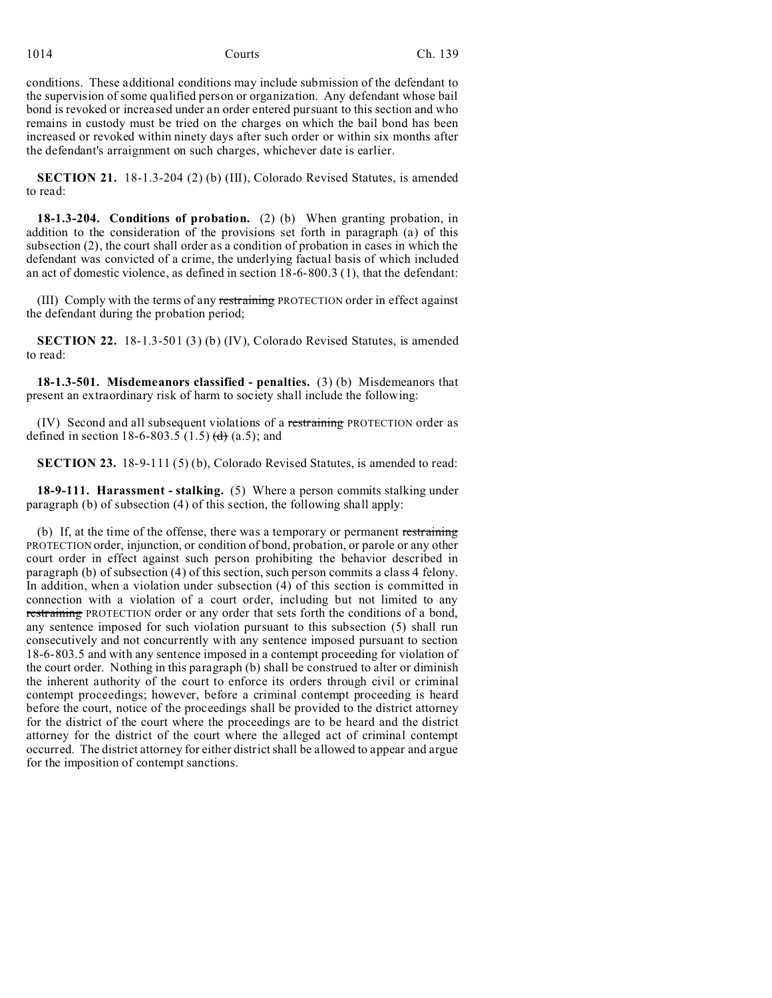conditions. These additional conditions may include submission of the defendant to the supervision of some qualified person or organization. Any defendant whose bail bond is revoked or increased under an order entered pursuant to this section and who remains in custody must be tried on the charges on which the bail bond has been increased or revoked within ninety days after such order or within six months after the defendant's arraignment on such charges, whichever date is earlier.

**SECTION 21.** 18-1.3-204 (2) (b) (III), Colorado Revised Statutes, is amended to read:

**18-1.3-204. Conditions of probation.** (2) (b) When granting probation, in addition to the consideration of the provisions set forth in paragraph (a) of this subsection (2), the court shall order as a condition of probation in cases in which the defendant was convicted of a crime, the underlying factual basis of which included an act of domestic violence, as defined in section 18-6-800.3 (1), that the defendant:

(III) Comply with the terms of any restraining PROTECTION order in effect against the defendant during the probation period;

**SECTION 22.** 18-1.3-501 (3) (b) (IV), Colorado Revised Statutes, is amended to read:

**18-1.3-501. Misdemeanors classified - penalties.** (3) (b) Misdemeanors that present an extraordinary risk of harm to society shall include the following:

(IV) Second and all subsequent violations of a restraining PROTECTION order as defined in section 18-6-803.5 (1.5) (d) (a.5); and

**SECTION 23.** 18-9-111 (5) (b), Colorado Revised Statutes, is amended to read:

**18-9-111. Harassment - stalking.** (5) Where a person commits stalking under paragraph (b) of subsection (4) of this section, the following shall apply:

(b) If, at the time of the offense, there was a temporary or permanent restraining PROTECTION order, injunction, or condition of bond, probation, or parole or any other court order in effect against such person prohibiting the behavior described in paragraph (b) of subsection (4) of this section, such person commits a class 4 felony. In addition, when a violation under subsection (4) of this section is committed in connection with a violation of a court order, including but not limited to any restraining PROTECTION order or any order that sets forth the conditions of a bond, any sentence imposed for such violation pursuant to this subsection (5) shall run consecutively and not concurrently with any sentence imposed pursuant to section 18-6-803.5 and with any sentence imposed in a contempt proceeding for violation of the court order. Nothing in this paragraph (b) shall be construed to alter or diminish the inherent authority of the court to enforce its orders through civil or criminal contempt proceedings; however, before a criminal contempt proceeding is heard before the court, notice of the proceedings shall be provided to the district attorney for the district of the court where the proceedings are to be heard and the district attorney for the district of the court where the alleged act of criminal contempt occurred. The district attorney for either district shall be allowed to appear and argue for the imposition of contempt sanctions.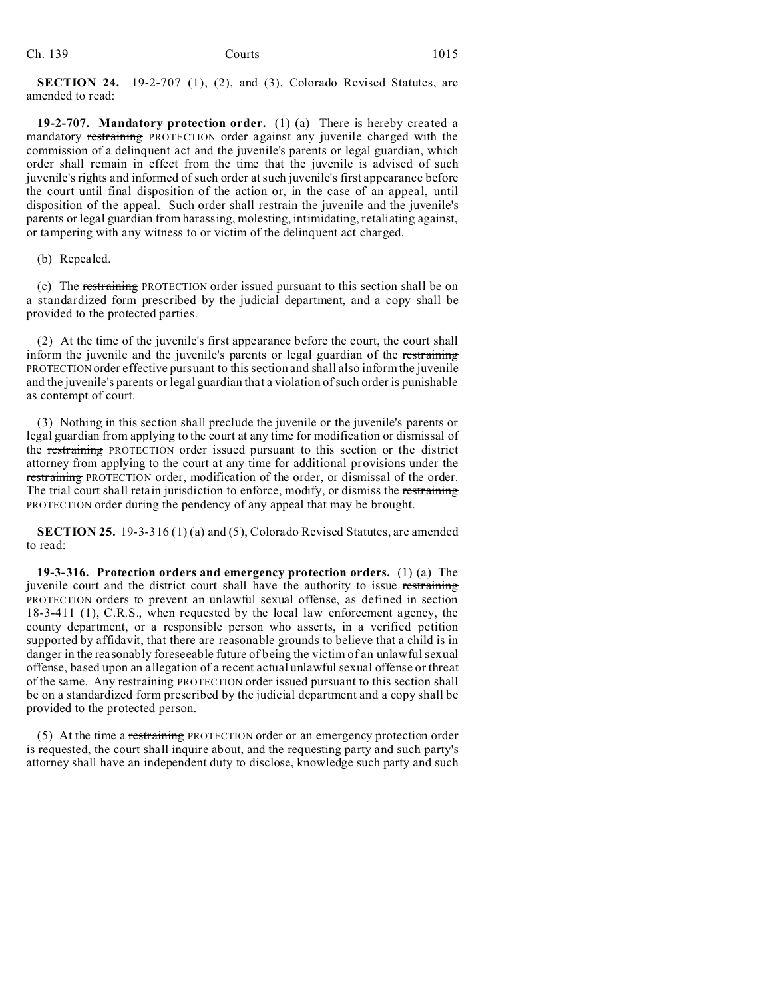**SECTION 24.** 19-2-707 (1), (2), and (3), Colorado Revised Statutes, are amended to read:

**19-2-707. Mandatory protection order.** (1) (a) There is hereby created a mandatory restraining PROTECTION order against any juvenile charged with the commission of a delinquent act and the juvenile's parents or legal guardian, which order shall remain in effect from the time that the juvenile is advised of such juvenile's rights and informed of such order at such juvenile's first appearance before the court until final disposition of the action or, in the case of an appeal, until disposition of the appeal. Such order shall restrain the juvenile and the juvenile's parents or legal guardian from harassing, molesting, intimidating, retaliating against, or tampering with any witness to or victim of the delinquent act charged.

(b) Repealed.

(c) The restraining PROTECTION order issued pursuant to this section shall be on a standardized form prescribed by the judicial department, and a copy shall be provided to the protected parties.

(2) At the time of the juvenile's first appearance before the court, the court shall inform the juvenile and the juvenile's parents or legal guardian of the restraining PROTECTION order effective pursuant to this section and shall also inform the juvenile and the juvenile's parents or legal guardian that a violation of such order is punishable as contempt of court.

(3) Nothing in this section shall preclude the juvenile or the juvenile's parents or legal guardian from applying to the court at any time for modification or dismissal of the restraining PROTECTION order issued pursuant to this section or the district attorney from applying to the court at any time for additional provisions under the restraining PROTECTION order, modification of the order, or dismissal of the order. The trial court shall retain jurisdiction to enforce, modify, or dismiss the restraining PROTECTION order during the pendency of any appeal that may be brought.

**SECTION 25.** 19-3-316 (1) (a) and (5), Colorado Revised Statutes, are amended to read:

**19-3-316. Protection orders and emergency protection orders.** (1) (a) The juvenile court and the district court shall have the authority to issue restraining PROTECTION orders to prevent an unlawful sexual offense, as defined in section 18-3-411 (1), C.R.S., when requested by the local law enforcement agency, the county department, or a responsible person who asserts, in a verified petition supported by affidavit, that there are reasonable grounds to believe that a child is in danger in the reasonably foreseeable future of being the victim of an unlawful sexual offense, based upon an allegation of a recent actual unlawful sexual offense or threat of the same. Any restraining PROTECTION order issued pursuant to this section shall be on a standardized form prescribed by the judicial department and a copy shall be provided to the protected person.

(5) At the time a restraining PROTECTION order or an emergency protection order is requested, the court shall inquire about, and the requesting party and such party's attorney shall have an independent duty to disclose, knowledge such party and such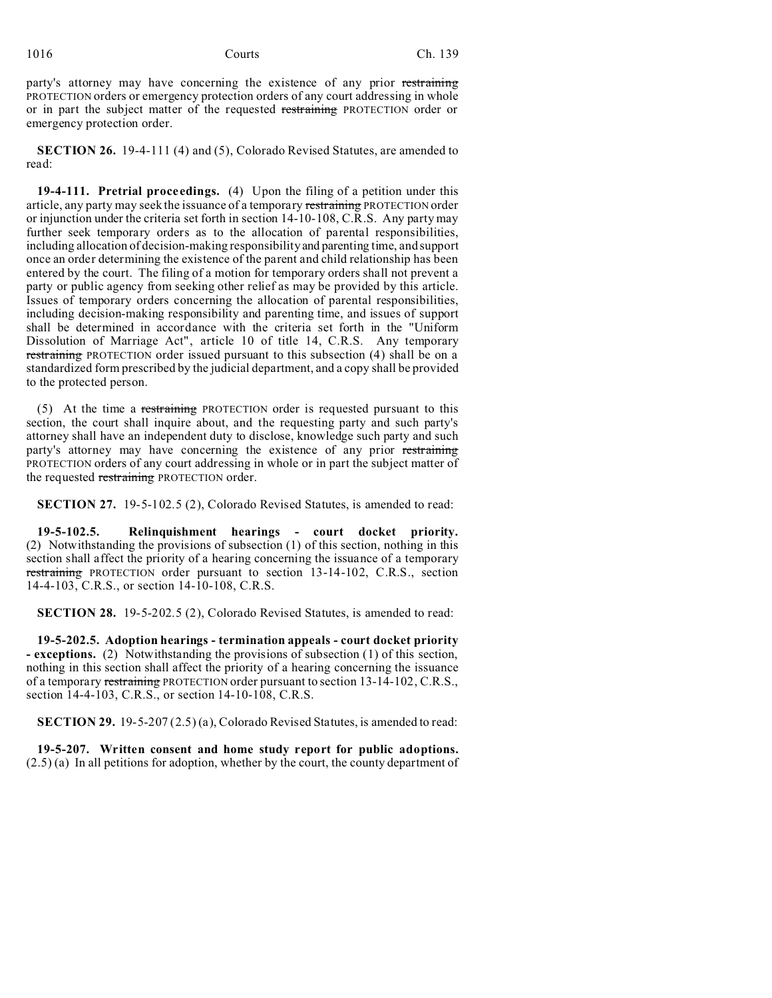party's attorney may have concerning the existence of any prior restraining PROTECTION orders or emergency protection orders of any court addressing in whole or in part the subject matter of the requested restraining PROTECTION order or emergency protection order.

**SECTION 26.** 19-4-111 (4) and (5), Colorado Revised Statutes, are amended to read:

**19-4-111. Pretrial proceedings.** (4) Upon the filing of a petition under this article, any party may seek the issuance of a temporary restraining PROTECTION order or injunction under the criteria set forth in section 14-10-108, C.R.S. Any party may further seek temporary orders as to the allocation of parental responsibilities, including allocation of decision-making responsibility and parenting time, and support once an order determining the existence of the parent and child relationship has been entered by the court. The filing of a motion for temporary orders shall not prevent a party or public agency from seeking other relief as may be provided by this article. Issues of temporary orders concerning the allocation of parental responsibilities, including decision-making responsibility and parenting time, and issues of support shall be determined in accordance with the criteria set forth in the "Uniform Dissolution of Marriage Act", article 10 of title 14, C.R.S. Any temporary restraining PROTECTION order issued pursuant to this subsection (4) shall be on a standardized form prescribed by the judicial department, and a copy shall be provided to the protected person.

(5) At the time a restraining PROTECTION order is requested pursuant to this section, the court shall inquire about, and the requesting party and such party's attorney shall have an independent duty to disclose, knowledge such party and such party's attorney may have concerning the existence of any prior restraining PROTECTION orders of any court addressing in whole or in part the subject matter of the requested restraining PROTECTION order.

**SECTION 27.** 19-5-102.5 (2), Colorado Revised Statutes, is amended to read:

**19-5-102.5. Relinquishment hearings - court docket priority.** (2) Notwithstanding the provisions of subsection (1) of this section, nothing in this section shall affect the priority of a hearing concerning the issuance of a temporary restraining PROTECTION order pursuant to section 13-14-102, C.R.S., section 14-4-103, C.R.S., or section 14-10-108, C.R.S.

**SECTION 28.** 19-5-202.5 (2), Colorado Revised Statutes, is amended to read:

**19-5-202.5. Adoption hearings - termination appeals - court docket priority - exceptions.** (2) Notwithstanding the provisions of subsection (1) of this section, nothing in this section shall affect the priority of a hearing concerning the issuance of a temporary restraining PROTECTION order pursuant to section 13-14-102, C.R.S., section 14-4-103, C.R.S., or section 14-10-108, C.R.S.

**SECTION 29.** 19-5-207 (2.5) (a), Colorado Revised Statutes, is amended to read:

**19-5-207. Written consent and home study report for public adoptions.** (2.5) (a) In all petitions for adoption, whether by the court, the county department of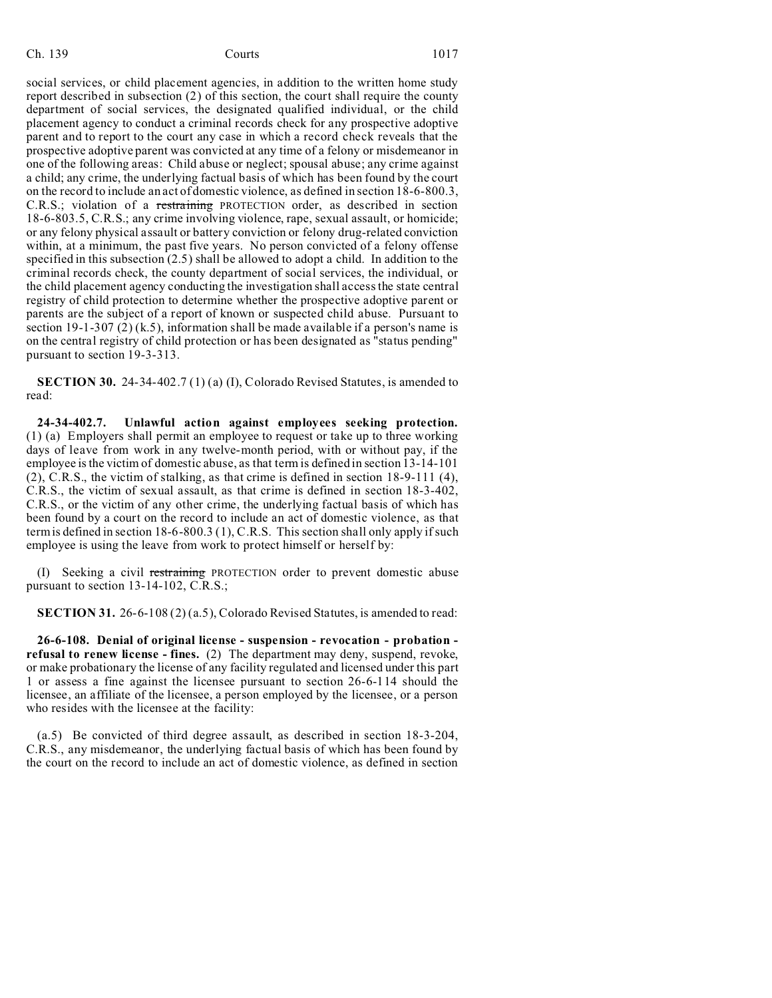social services, or child placement agencies, in addition to the written home study report described in subsection (2) of this section, the court shall require the county department of social services, the designated qualified individual, or the child placement agency to conduct a criminal records check for any prospective adoptive parent and to report to the court any case in which a record check reveals that the prospective adoptive parent was convicted at any time of a felony or misdemeanor in one of the following areas: Child abuse or neglect; spousal abuse; any crime against a child; any crime, the underlying factual basis of which has been found by the court on the record to include an act of domestic violence, as defined in section 18-6-800.3, C.R.S.; violation of a restraining PROTECTION order, as described in section 18-6-803.5, C.R.S.; any crime involving violence, rape, sexual assault, or homicide; or any felony physical assault or battery conviction or felony drug-related conviction within, at a minimum, the past five years. No person convicted of a felony offense specified in this subsection (2.5) shall be allowed to adopt a child. In addition to the criminal records check, the county department of social services, the individual, or the child placement agency conducting the investigation shall access the state central registry of child protection to determine whether the prospective adoptive parent or parents are the subject of a report of known or suspected child abuse. Pursuant to section  $19-1-307$  (2) (k.5), information shall be made available if a person's name is on the central registry of child protection or has been designated as "status pending" pursuant to section 19-3-313.

**SECTION 30.** 24-34-402.7 (1) (a) (I), Colorado Revised Statutes, is amended to read:

**24-34-402.7. Unlawful action against employees seeking protection.** (1) (a) Employers shall permit an employee to request or take up to three working days of leave from work in any twelve-month period, with or without pay, if the employee is the victim of domestic abuse, as that term is defined in section 13-14-101 (2), C.R.S., the victim of stalking, as that crime is defined in section 18-9-111 (4), C.R.S., the victim of sexual assault, as that crime is defined in section 18-3-402, C.R.S., or the victim of any other crime, the underlying factual basis of which has been found by a court on the record to include an act of domestic violence, as that term is defined in section 18-6-800.3 (1), C.R.S. This section shall only apply if such employee is using the leave from work to protect himself or herself by:

(I) Seeking a civil restraining PROTECTION order to prevent domestic abuse pursuant to section 13-14-102, C.R.S.;

**SECTION 31.** 26-6-108 (2) (a.5), Colorado Revised Statutes, is amended to read:

**26-6-108. Denial of original license - suspension - revocation - probation refusal to renew license - fines.** (2) The department may deny, suspend, revoke, or make probationary the license of any facility regulated and licensed under this part 1 or assess a fine against the licensee pursuant to section 26-6-114 should the licensee, an affiliate of the licensee, a person employed by the licensee, or a person who resides with the licensee at the facility:

(a.5) Be convicted of third degree assault, as described in section 18-3-204, C.R.S., any misdemeanor, the underlying factual basis of which has been found by the court on the record to include an act of domestic violence, as defined in section